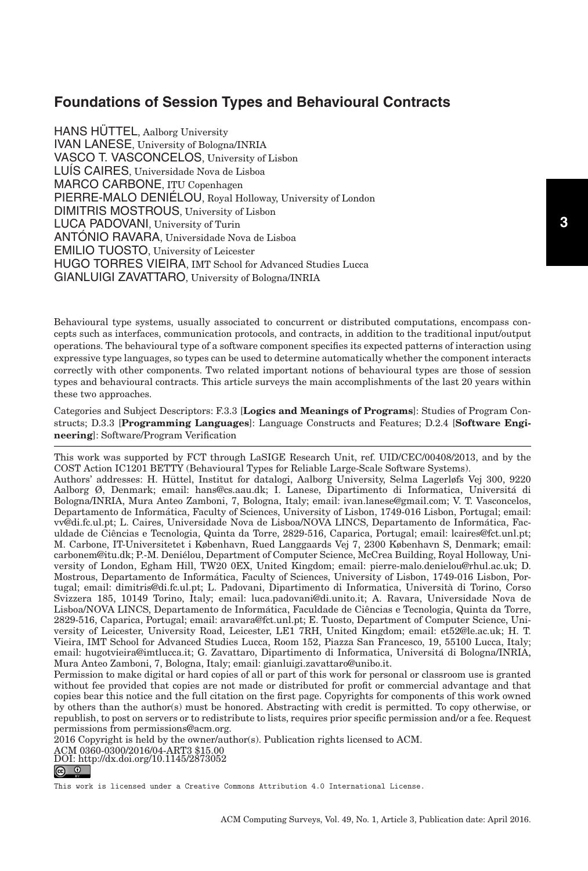HANS HÜTTEL, Aalborg University IVAN LANESE, University of Bologna/INRIA VASCO T. VASCONCELOS, University of Lisbon LUIS CAIRES, Universidade Nova de Lisboa MARCO CARBONE, ITU Copenhagen PIERRE-MALO DENIÉLOU, Royal Holloway, University of London DIMITRIS MOSTROUS, University of Lisbon LUCA PADOVANI, University of Turin ANTÓNIO RAVARA, Universidade Nova de Lisboa EMILIO TUOSTO, University of Leicester HUGO TORRES VIEIRA, IMT School for Advanced Studies Lucca GIANLUIGI ZAVATTARO, University of Bologna/INRIA

Behavioural type systems, usually associated to concurrent or distributed computations, encompass concepts such as interfaces, communication protocols, and contracts, in addition to the traditional input/output operations. The behavioural type of a software component specifies its expected patterns of interaction using expressive type languages, so types can be used to determine automatically whether the component interacts correctly with other components. Two related important notions of behavioural types are those of session types and behavioural contracts. This article surveys the main accomplishments of the last 20 years within these two approaches.

Categories and Subject Descriptors: F.3.3 [**Logics and Meanings of Programs**]: Studies of Program Constructs; D.3.3 [**Programming Languages**]: Language Constructs and Features; D.2.4 [**Software Engineering**]: Software/Program Verification

This work was supported by FCT through LaSIGE Research Unit, ref. UID/CEC/00408/2013, and by the COST Action IC1201 BETTY (Behavioural Types for Reliable Large-Scale Software Systems). Authors' addresses: H. Huttel, Institut for datalogi, Aalborg University, Selma Lagerløfs Vej 300, 9220 ¨ Aalborg Ø, Denmark; email: hans@cs.aau.dk; I. Lanese, Dipartimento di Informatica, Universita di ´ Bologna/INRIA, Mura Anteo Zamboni, 7, Bologna, Italy; email: ivan.lanese@gmail.com; V. T. Vasconcelos, Departamento de Informatica, Faculty of Sciences, University of Lisbon, 1749-016 Lisbon, Portugal; email: ´ vv@di.fc.ul.pt; L. Caires, Universidade Nova de Lisboa/NOVA LINCS, Departamento de Informatica, Fac- ´ uldade de Ciencias e Tecnologia, Quinta da Torre, 2829-516, Caparica, Portugal; email: lcaires@fct.unl.pt; ˆ M. Carbone, IT-Universitetet i København, Rued Langgaards Vej 7, 2300 København S, Denmark; email: carbonem@itu.dk; P.-M. Denielou, Department of Computer Science, McCrea Building, Royal Holloway, Uni- ´ versity of London, Egham Hill, TW20 0EX, United Kingdom; email: pierre-malo.denielou@rhul.ac.uk; D. Mostrous, Departamento de Informatica, Faculty of Sciences, University of Lisbon, 1749-016 Lisbon, Por- ´ tugal; email: dimitris@di.fc.ul.pt; L. Padovani, Dipartimento di Informatica, Universita di Torino, Corso ` Svizzera 185, 10149 Torino, Italy; email: luca.padovani@di.unito.it; A. Ravara, Universidade Nova de Lisboa/NOVA LINCS, Departamento de Informática, Faculdade de Ciências e Tecnologia, Quinta da Torre, 2829-516, Caparica, Portugal; email: aravara@fct.unl.pt; E. Tuosto, Department of Computer Science, University of Leicester, University Road, Leicester, LE1 7RH, United Kingdom; email: et52@le.ac.uk; H. T. Vieira, IMT School for Advanced Studies Lucca, Room 152, Piazza San Francesco, 19, 55100 Lucca, Italy; email: hugotvieira@imtlucca.it; G. Zavattaro, Dipartimento di Informatica, Universita di Bologna/INRIA, ´ Mura Anteo Zamboni, 7, Bologna, Italy; email: gianluigi.zavattaro@unibo.it.

Permission to make digital or hard copies of all or part of this work for personal or classroom use is granted without fee provided that copies are not made or distributed for profit or commercial advantage and that copies bear this notice and the full citation on the first page. Copyrights for components of this work owned by others than the author(s) must be honored. Abstracting with credit is permitted. To copy otherwise, or republish, to post on servers or to redistribute to lists, requires prior specific permission and/or a fee. Request permissions from permissions@acm.org.

2016 Copyright is held by the owner/author(s). Publication rights licensed to ACM.

ACM 0360-0300/2016/04-ART3 \$15.00 DOI:<http://dx.doi.org/10.1145/2873052>

This work is licensed under a [Creative Commons Attribution 4.0 International License.](http://creativecommons.org/licenses/by/4.0/)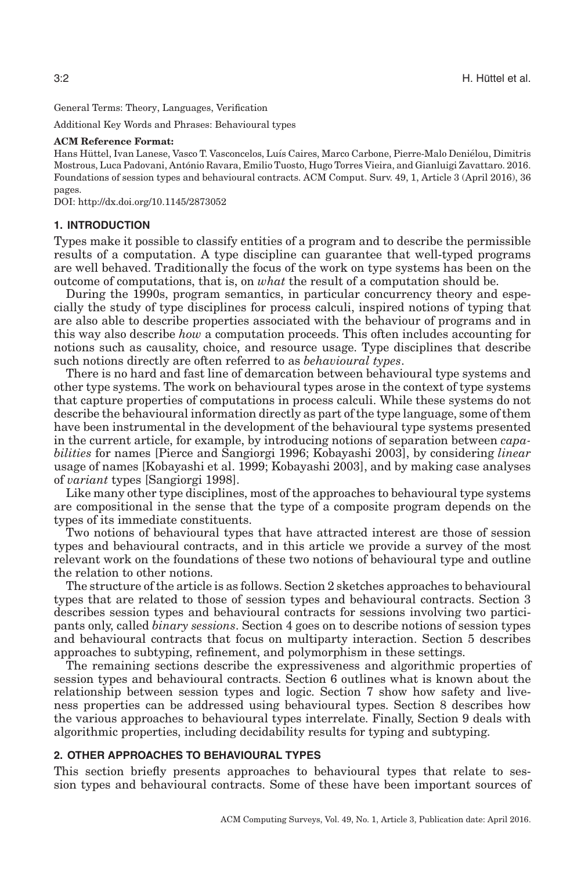General Terms: Theory, Languages, Verification

Additional Key Words and Phrases: Behavioural types

#### **ACM Reference Format:**

Hans Hüttel, Ivan Lanese, Vasco T. Vasconcelos, Luís Caires, Marco Carbone, Pierre-Malo Deniélou, Dimitris Mostrous, Luca Padovani, Antonio Ravara, Emilio Tuosto, Hugo Torres Vieira, and Gianluigi Zavattaro. 2016. ´ Foundations of session types and behavioural contracts. ACM Comput. Surv. 49, 1, Article 3 (April 2016), 36 pages.

DOI:<http://dx.doi.org/10.1145/2873052>

#### **1. INTRODUCTION**

Types make it possible to classify entities of a program and to describe the permissible results of a computation. A type discipline can guarantee that well-typed programs are well behaved. Traditionally the focus of the work on type systems has been on the outcome of computations, that is, on *what* the result of a computation should be.

During the 1990s, program semantics, in particular concurrency theory and especially the study of type disciplines for process calculi, inspired notions of typing that are also able to describe properties associated with the behaviour of programs and in this way also describe *how* a computation proceeds. This often includes accounting for notions such as causality, choice, and resource usage. Type disciplines that describe such notions directly are often referred to as *behavioural types*.

There is no hard and fast line of demarcation between behavioural type systems and other type systems. The work on behavioural types arose in the context of type systems that capture properties of computations in process calculi. While these systems do not describe the behavioural information directly as part of the type language, some of them have been instrumental in the development of the behavioural type systems presented in the current article, for example, by introducing notions of separation between *capabilities* for names [Pierce and Sangiorgi [1996;](#page-34-0) Kobayashi [2003\]](#page-33-0), by considering *linear* usage of names [Kobayashi et al. [1999;](#page-33-1) Kobayashi [2003\]](#page-33-0), and by making case analyses of *variant* types [Sangiorgi [1998\]](#page-35-0).

Like many other type disciplines, most of the approaches to behavioural type systems are compositional in the sense that the type of a composite program depends on the types of its immediate constituents.

Two notions of behavioural types that have attracted interest are those of session types and behavioural contracts, and in this article we provide a survey of the most relevant work on the foundations of these two notions of behavioural type and outline the relation to other notions.

The structure of the article is as follows. Section [2](#page-1-0) sketches approaches to behavioural types that are related to those of session types and behavioural contracts. Section [3](#page-6-0) describes session types and behavioural contracts for sessions involving two participants only, called *binary sessions*. Section [4](#page-12-0) goes on to describe notions of session types and behavioural contracts that focus on multiparty interaction. Section [5](#page-18-0) describes approaches to subtyping, refinement, and polymorphism in these settings.

The remaining sections describe the expressiveness and algorithmic properties of session types and behavioural contracts. Section [6](#page-20-0) outlines what is known about the relationship between session types and logic. Section [7](#page-23-0) show how safety and liveness properties can be addressed using behavioural types. Section [8](#page-26-0) describes how the various approaches to behavioural types interrelate. Finally, Section [9](#page-27-0) deals with algorithmic properties, including decidability results for typing and subtyping.

#### **2. OTHER APPROACHES TO BEHAVIOURAL TYPES**

<span id="page-1-0"></span>This section briefly presents approaches to behavioural types that relate to session types and behavioural contracts. Some of these have been important sources of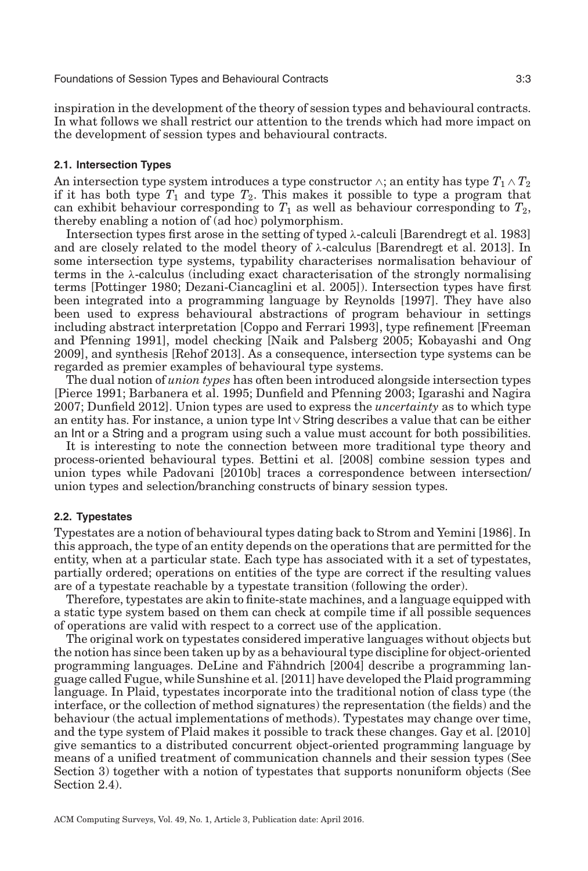inspiration in the development of the theory of session types and behavioural contracts. In what follows we shall restrict our attention to the trends which had more impact on the development of session types and behavioural contracts.

#### **2.1. Intersection Types**

An intersection type system introduces a type constructor  $\wedge$ ; an entity has type  $T_1 \wedge T_2$ if it has both type  $T_1$  and type  $T_2$ . This makes it possible to type a program that can exhibit behaviour corresponding to  $T_1$  as well as behaviour corresponding to  $T_2$ , thereby enabling a notion of (ad hoc) polymorphism.

Intersection types first arose in the setting of typed  $\lambda$ -calculi [Barendregt et al. [1983\]](#page-29-0) and are closely related to the model theory of  $\lambda$ -calculus [Barendregt et al. [2013\]](#page-29-1). In some intersection type systems, typability characterises normalisation behaviour of terms in the  $\lambda$ -calculus (including exact characterisation of the strongly normalising terms [Pottinger [1980;](#page-34-1) Dezani-Ciancaglini et al. [2005\]](#page-31-0)). Intersection types have first been integrated into a programming language by Reynolds [\[1997\]](#page-35-1). They have also been used to express behavioural abstractions of program behaviour in settings including abstract interpretation [Coppo and Ferrari [1993\]](#page-31-1), type refinement [Freeman and Pfenning [1991\]](#page-32-0), model checking [Naik and Palsberg [2005;](#page-34-2) Kobayashi and Ong [2009\]](#page-33-2), and synthesis [Rehof [2013\]](#page-34-3). As a consequence, intersection type systems can be regarded as premier examples of behavioural type systems.

The dual notion of *union types* has often been introduced alongside intersection types [Pierce [1991;](#page-34-4) Barbanera et al. [1995;](#page-29-2) Dunfield and Pfenning [2003;](#page-31-2) Igarashi and Nagira [2007;](#page-32-1) Dunfield [2012\]](#page-31-3). Union types are used to express the *uncertainty* as to which type an entity has. For instance, a union type Int∨String describes a value that can be either an Int or a String and a program using such a value must account for both possibilities.

It is interesting to note the connection between more traditional type theory and process-oriented behavioural types. Bettini et al. [\[2008\]](#page-29-3) combine session types and union types while Padovani [\[2010b\]](#page-34-5) traces a correspondence between intersection/ union types and selection/branching constructs of binary session types.

## **2.2. Typestates**

Typestates are a notion of behavioural types dating back to Strom and Yemini [\[1986\]](#page-35-2). In this approach, the type of an entity depends on the operations that are permitted for the entity, when at a particular state. Each type has associated with it a set of typestates, partially ordered; operations on entities of the type are correct if the resulting values are of a typestate reachable by a typestate transition (following the order).

Therefore, typestates are akin to finite-state machines, and a language equipped with a static type system based on them can check at compile time if all possible sequences of operations are valid with respect to a correct use of the application.

The original work on typestates considered imperative languages without objects but the notion has since been taken up by as a behavioural type discipline for object-oriented programming languages. DeLine and Fähndrich [\[2004\]](#page-31-4) describe a programming language called Fugue, while Sunshine et al. [\[2011\]](#page-35-3) have developed the Plaid programming language. In Plaid, typestates incorporate into the traditional notion of class type (the interface, or the collection of method signatures) the representation (the fields) and the behaviour (the actual implementations of methods). Typestates may change over time, and the type system of Plaid makes it possible to track these changes. Gay et al. [\[2010\]](#page-32-2) give semantics to a distributed concurrent object-oriented programming language by means of a unified treatment of communication channels and their session types (See Section [3\)](#page-6-0) together with a notion of typestates that supports nonuniform objects (See Section [2.4\)](#page-3-0).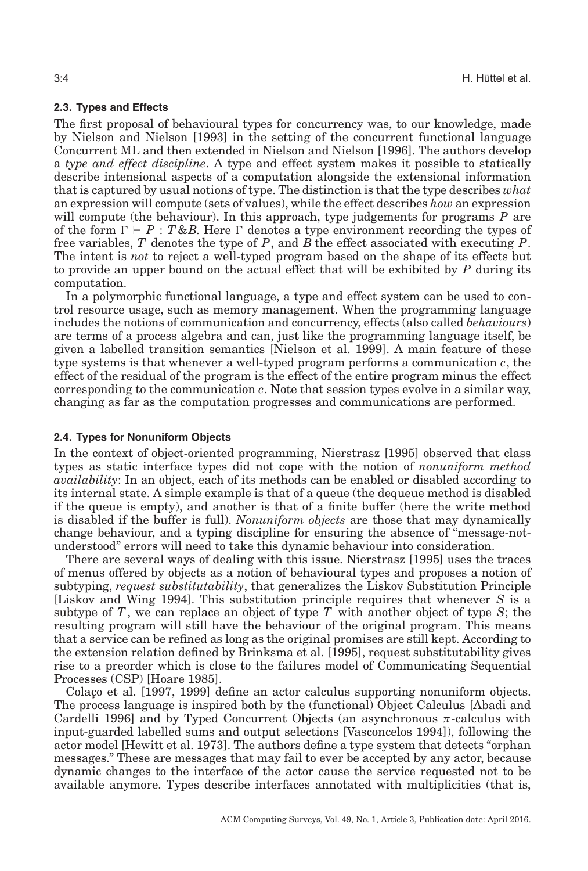## **2.3. Types and Effects**

The first proposal of behavioural types for concurrency was, to our knowledge, made by Nielson and Nielson [\[1993\]](#page-34-6) in the setting of the concurrent functional language Concurrent ML and then extended in Nielson and Nielson [\[1996\]](#page-34-7). The authors develop a *type and effect discipline*. A type and effect system makes it possible to statically describe intensional aspects of a computation alongside the extensional information that is captured by usual notions of type. The distinction is that the type describes *what* an expression will compute (sets of values), while the effect describes *how* an expression will compute (the behaviour). In this approach, type judgements for programs *P* are of the form  $\Gamma \vdash P : T \& B$ . Here  $\Gamma$  denotes a type environment recording the types of free variables, *T* denotes the type of *P*, and *B* the effect associated with executing *P*. The intent is *not* to reject a well-typed program based on the shape of its effects but to provide an upper bound on the actual effect that will be exhibited by *P* during its computation.

In a polymorphic functional language, a type and effect system can be used to control resource usage, such as memory management. When the programming language includes the notions of communication and concurrency, effects (also called *behaviours*) are terms of a process algebra and can, just like the programming language itself, be given a labelled transition semantics [Nielson et al. [1999\]](#page-34-8). A main feature of these type systems is that whenever a well-typed program performs a communication *c*, the effect of the residual of the program is the effect of the entire program minus the effect corresponding to the communication *c*. Note that session types evolve in a similar way, changing as far as the computation progresses and communications are performed.

## <span id="page-3-0"></span>**2.4. Types for Nonuniform Objects**

In the context of object-oriented programming, Nierstrasz [\[1995\]](#page-34-9) observed that class types as static interface types did not cope with the notion of *nonuniform method availability*: In an object, each of its methods can be enabled or disabled according to its internal state. A simple example is that of a queue (the dequeue method is disabled if the queue is empty), and another is that of a finite buffer (here the write method is disabled if the buffer is full). *Nonuniform objects* are those that may dynamically change behaviour, and a typing discipline for ensuring the absence of "message-notunderstood" errors will need to take this dynamic behaviour into consideration.

There are several ways of dealing with this issue. Nierstrasz [\[1995\]](#page-34-9) uses the traces of menus offered by objects as a notion of behavioural types and proposes a notion of subtyping, *request substitutability*, that generalizes the Liskov Substitution Principle [Liskov and Wing [1994\]](#page-33-3). This substitution principle requires that whenever *S* is a subtype of *T*, we can replace an object of type *T* with another object of type *S*; the resulting program will still have the behaviour of the original program. This means that a service can be refined as long as the original promises are still kept. According to the extension relation defined by Brinksma et al. [\[1995\]](#page-30-0), request substitutability gives rise to a preorder which is close to the failures model of Communicating Sequential Processes (CSP) [Hoare [1985\]](#page-32-3).

Colaco et al. [\[1997,](#page-31-5) [1999\]](#page-31-6) define an actor calculus supporting nonuniform objects. The process language is inspired both by the (functional) Object Calculus [Abadi and Cardelli [1996\]](#page-29-4) and by Typed Concurrent Objects (an asynchronous  $\pi$ -calculus with input-guarded labelled sums and output selections [Vasconcelos [1994\]](#page-35-4)), following the actor model [Hewitt et al. [1973\]](#page-32-4). The authors define a type system that detects "orphan messages." These are messages that may fail to ever be accepted by any actor, because dynamic changes to the interface of the actor cause the service requested not to be available anymore. Types describe interfaces annotated with multiplicities (that is,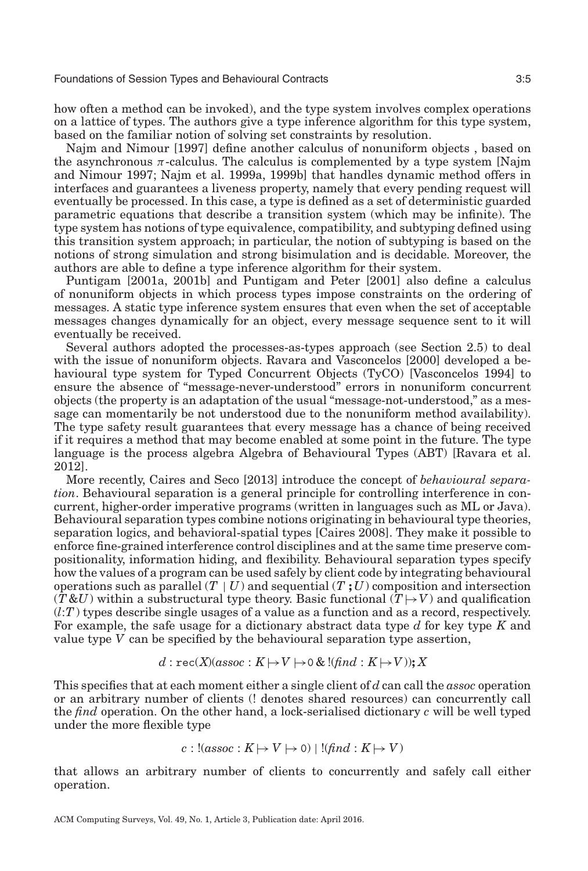how often a method can be invoked), and the type system involves complex operations on a lattice of types. The authors give a type inference algorithm for this type system, based on the familiar notion of solving set constraints by resolution.

Najm and Nimour [\[1997\]](#page-34-10) define another calculus of nonuniform objects , based on the asynchronous  $\pi$ -calculus. The calculus is complemented by a type system [Najm and Nimour [1997;](#page-34-10) Najm et al. [1999a,](#page-34-11) [1999b\]](#page-34-12) that handles dynamic method offers in interfaces and guarantees a liveness property, namely that every pending request will eventually be processed. In this case, a type is defined as a set of deterministic guarded parametric equations that describe a transition system (which may be infinite). The type system has notions of type equivalence, compatibility, and subtyping defined using this transition system approach; in particular, the notion of subtyping is based on the notions of strong simulation and strong bisimulation and is decidable. Moreover, the authors are able to define a type inference algorithm for their system.

Puntigam [\[2001a,](#page-34-13) [2001b\]](#page-34-14) and Puntigam and Peter [\[2001\]](#page-34-15) also define a calculus of nonuniform objects in which process types impose constraints on the ordering of messages. A static type inference system ensures that even when the set of acceptable messages changes dynamically for an object, every message sequence sent to it will eventually be received.

Several authors adopted the processes-as-types approach (see Section [2.5\)](#page-5-0) to deal with the issue of nonuniform objects. Ravara and Vasconcelos [\[2000\]](#page-34-16) developed a behavioural type system for Typed Concurrent Objects (TyCO) [Vasconcelos [1994\]](#page-35-4) to ensure the absence of "message-never-understood" errors in nonuniform concurrent objects (the property is an adaptation of the usual "message-not-understood," as a message can momentarily be not understood due to the nonuniform method availability). The type safety result guarantees that every message has a chance of being received if it requires a method that may become enabled at some point in the future. The type language is the process algebra Algebra of Behavioural Types (ABT) [Ravara et al. [2012\]](#page-34-17).

More recently, Caires and Seco [\[2013\]](#page-30-1) introduce the concept of *behavioural separation*. Behavioural separation is a general principle for controlling interference in concurrent, higher-order imperative programs (written in languages such as ML or Java). Behavioural separation types combine notions originating in behavioural type theories, separation logics, and behavioral-spatial types [Caires [2008\]](#page-30-2). They make it possible to enforce fine-grained interference control disciplines and at the same time preserve compositionality, information hiding, and flexibility. Behavioural separation types specify how the values of a program can be used safely by client code by integrating behavioural operations such as parallel  $(T | U)$  and sequential  $(T; U)$  composition and intersection  $(T \& U)$  within a substructural type theory. Basic functional  $(T \rightarrow V)$  and qualification  $(l:T)$  types describe single usages of a value as a function and as a record, respectively. For example, the safe usage for a dictionary abstract data type *d* for key type *K* and value type *V* can be specified by the behavioural separation type assertion,

$$
d:\text{rec}(X)(assoc:K\mapsto V\mapsto 0\ \&\ !(find:K\mapsto V));X
$$

This specifies that at each moment either a single client of *d* can call the *assoc* operation or an arbitrary number of clients (! denotes shared resources) can concurrently call the *find* operation. On the other hand, a lock-serialised dictionary *c* will be well typed under the more flexible type

$$
c:!(assoc:K \mapsto V \mapsto 0) | !(find:K \mapsto V)
$$

that allows an arbitrary number of clients to concurrently and safely call either operation.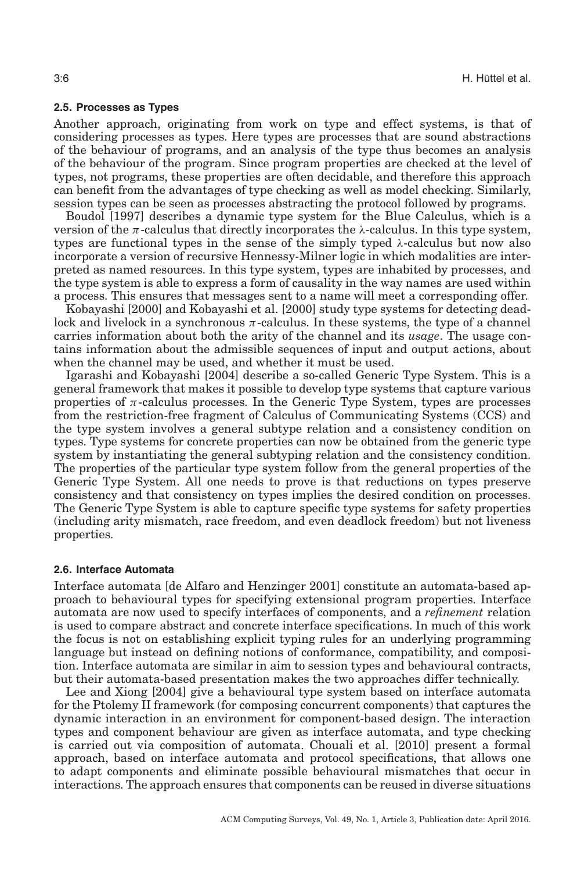### **2.5. Processes as Types**

<span id="page-5-0"></span>Another approach, originating from work on type and effect systems, is that of considering processes as types. Here types are processes that are sound abstractions of the behaviour of programs, and an analysis of the type thus becomes an analysis of the behaviour of the program. Since program properties are checked at the level of types, not programs, these properties are often decidable, and therefore this approach can benefit from the advantages of type checking as well as model checking. Similarly, session types can be seen as processes abstracting the protocol followed by programs.

Boudol [\[1997\]](#page-30-3) describes a dynamic type system for the Blue Calculus, which is a version of the  $\pi$ -calculus that directly incorporates the  $\lambda$ -calculus. In this type system, types are functional types in the sense of the simply typed  $\lambda$ -calculus but now also incorporate a version of recursive Hennessy-Milner logic in which modalities are interpreted as named resources. In this type system, types are inhabited by processes, and the type system is able to express a form of causality in the way names are used within a process. This ensures that messages sent to a name will meet a corresponding offer.

Kobayashi [\[2000\]](#page-33-4) and Kobayashi et al. [\[2000\]](#page-33-5) study type systems for detecting deadlock and livelock in a synchronous  $\pi$ -calculus. In these systems, the type of a channel carries information about both the arity of the channel and its *usage*. The usage contains information about the admissible sequences of input and output actions, about when the channel may be used, and whether it must be used.

Igarashi and Kobayashi [\[2004\]](#page-32-5) describe a so-called Generic Type System. This is a general framework that makes it possible to develop type systems that capture various properties of  $\pi$ -calculus processes. In the Generic Type System, types are processes from the restriction-free fragment of Calculus of Communicating Systems (CCS) and the type system involves a general subtype relation and a consistency condition on types. Type systems for concrete properties can now be obtained from the generic type system by instantiating the general subtyping relation and the consistency condition. The properties of the particular type system follow from the general properties of the Generic Type System. All one needs to prove is that reductions on types preserve consistency and that consistency on types implies the desired condition on processes. The Generic Type System is able to capture specific type systems for safety properties (including arity mismatch, race freedom, and even deadlock freedom) but not liveness properties.

#### **2.6. Interface Automata**

Interface automata [de Alfaro and Henzinger [2001\]](#page-31-7) constitute an automata-based approach to behavioural types for specifying extensional program properties. Interface automata are now used to specify interfaces of components, and a *refinement* relation is used to compare abstract and concrete interface specifications. In much of this work the focus is not on establishing explicit typing rules for an underlying programming language but instead on defining notions of conformance, compatibility, and composition. Interface automata are similar in aim to session types and behavioural contracts, but their automata-based presentation makes the two approaches differ technically.

Lee and Xiong [\[2004\]](#page-33-6) give a behavioural type system based on interface automata for the Ptolemy II framework (for composing concurrent components) that captures the dynamic interaction in an environment for component-based design. The interaction types and component behaviour are given as interface automata, and type checking is carried out via composition of automata. Chouali et al. [\[2010\]](#page-31-8) present a formal approach, based on interface automata and protocol specifications, that allows one to adapt components and eliminate possible behavioural mismatches that occur in interactions. The approach ensures that components can be reused in diverse situations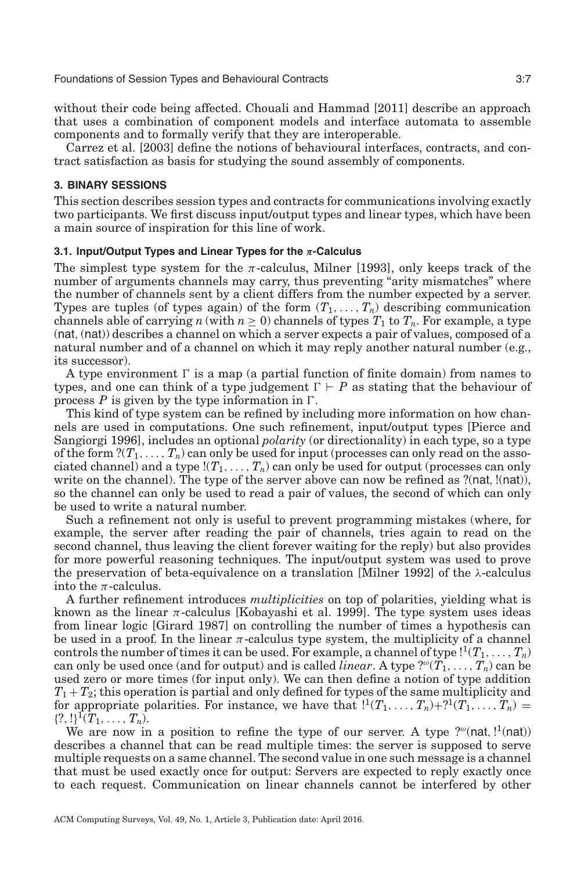without their code being affected. Chouali and Hammad [\[2011\]](#page-31-9) describe an approach that uses a combination of component models and interface automata to assemble components and to formally verify that they are interoperable.

Carrez et al. [\[2003\]](#page-30-4) define the notions of behavioural interfaces, contracts, and contract satisfaction as basis for studying the sound assembly of components.

## **3. BINARY SESSIONS**

<span id="page-6-0"></span>This section describes session types and contracts for communications involving exactly two participants. We first discuss input/output types and linear types, which have been a main source of inspiration for this line of work.

#### **3.1. Input/Output Types and Linear Types for the** *π***-Calculus**

The simplest type system for the  $\pi$ -calculus, Milner [\[1993\]](#page-33-7), only keeps track of the number of arguments channels may carry, thus preventing "arity mismatches" where the number of channels sent by a client differs from the number expected by a server. Types are tuples (of types again) of the form  $(T_1, \ldots, T_n)$  describing communication channels able of carrying *n* (with  $n \geq 0$ ) channels of types  $T_1$  to  $T_n$ . For example, a type (nat,(nat)) describes a channel on which a server expects a pair of values, composed of a natural number and of a channel on which it may reply another natural number (e.g., its successor).

A type environment  $\Gamma$  is a map (a partial function of finite domain) from names to types, and one can think of a type judgement  $\Gamma \vdash P$  as stating that the behaviour of process  $P$  is given by the type information in  $\Gamma$ .

This kind of type system can be refined by including more information on how channels are used in computations. One such refinement, input/output types [Pierce and Sangiorgi [1996\]](#page-34-0), includes an optional *polarity* (or directionality) in each type, so a type of the form  $?({T_1},\ldots,{T_n})$  can only be used for input (processes can only read on the associated channel) and a type  $!(T_1,\ldots,T_n)$  can only be used for output (processes can only write on the channel). The type of the server above can now be refined as ?(nat, !(nat)), so the channel can only be used to read a pair of values, the second of which can only be used to write a natural number.

Such a refinement not only is useful to prevent programming mistakes (where, for example, the server after reading the pair of channels, tries again to read on the second channel, thus leaving the client forever waiting for the reply) but also provides for more powerful reasoning techniques. The input/output system was used to prove the preservation of beta-equivalence on a translation [Milner [1992\]](#page-33-8) of the  $\lambda$ -calculus into the  $\pi$ -calculus.

A further refinement introduces *multiplicities* on top of polarities, yielding what is known as the linear  $\pi$ -calculus [Kobayashi et al. [1999\]](#page-33-1). The type system uses ideas from linear logic [Girard [1987\]](#page-32-6) on controlling the number of times a hypothesis can be used in a proof. In the linear  $\pi$ -calculus type system, the multiplicity of a channel controls the number of times it can be used. For example, a channel of type  $!^{1}(T_{1},...,T_{n})$ can only be used once (and for output) and is called *linear*. A type  $\mathcal{C}(T_1,\ldots,T_n)$  can be used zero or more times (for input only). We can then define a notion of type addition  $T_1 + T_2$ ; this operation is partial and only defined for types of the same multiplicity and for appropriate polarities. For instance, we have that  $\binom{1}{r_1},\ldots,\binom{r_n}{r_r}=\binom{r_1,\ldots,r_n}{r_r}$  $\{?, !\}^1(T_1, \ldots, T_n).$ 

We are now in a position to refine the type of our server. A type  $?^\omega$ (nat,  $!^1$ (nat)) describes a channel that can be read multiple times: the server is supposed to serve multiple requests on a same channel. The second value in one such message is a channel that must be used exactly once for output: Servers are expected to reply exactly once to each request. Communication on linear channels cannot be interfered by other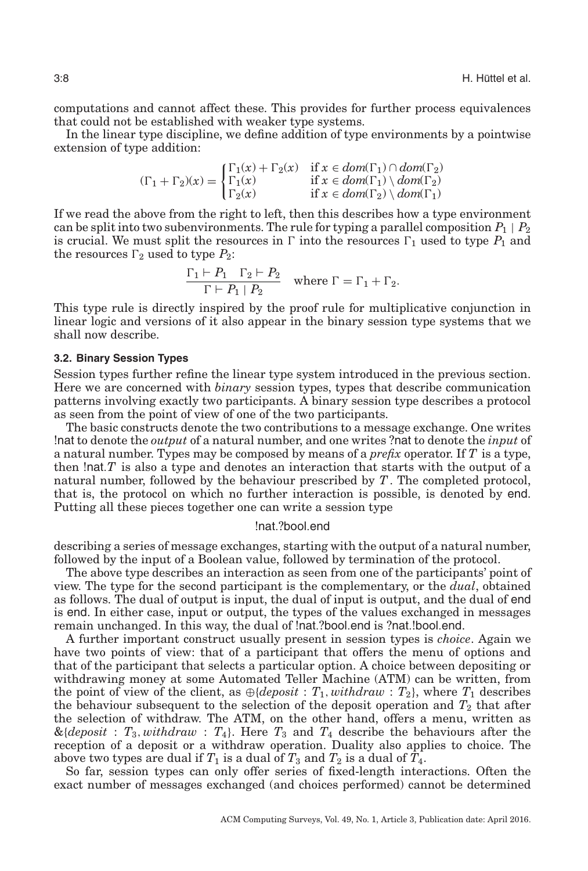computations and cannot affect these. This provides for further process equivalences that could not be established with weaker type systems.

In the linear type discipline, we define addition of type environments by a pointwise extension of type addition:

$$
(\Gamma_1 + \Gamma_2)(x) = \begin{cases} \Gamma_1(x) + \Gamma_2(x) & \text{if } x \in dom(\Gamma_1) \cap dom(\Gamma_2) \\ \Gamma_1(x) & \text{if } x \in dom(\Gamma_1) \setminus dom(\Gamma_2) \\ \Gamma_2(x) & \text{if } x \in dom(\Gamma_2) \setminus dom(\Gamma_1) \end{cases}
$$

If we read the above from the right to left, then this describes how a type environment can be split into two subenvironments. The rule for typing a parallel composition  $P_1 \mid P_2$ is crucial. We must split the resources in  $\Gamma$  into the resources  $\Gamma_1$  used to type  $P_1$  and the resources  $\Gamma_2$  used to type  $P_2$ :

<span id="page-7-0"></span>
$$
\frac{\Gamma_1 \vdash P_1 \quad \Gamma_2 \vdash P_2}{\Gamma \vdash P_1 \mid P_2} \quad \text{where } \Gamma = \Gamma_1 + \Gamma_2.
$$

This type rule is directly inspired by the proof rule for multiplicative conjunction in linear logic and versions of it also appear in the binary session type systems that we shall now describe.

## **3.2. Binary Session Types**

Session types further refine the linear type system introduced in the previous section. Here we are concerned with *binary* session types, types that describe communication patterns involving exactly two participants. A binary session type describes a protocol as seen from the point of view of one of the two participants.

The basic constructs denote the two contributions to a message exchange. One writes !nat to denote the *output* of a natural number, and one writes ?nat to denote the *input* of a natural number. Types may be composed by means of a *prefix* operator. If *T* is a type, then !nat.*T* is also a type and denotes an interaction that starts with the output of a natural number, followed by the behaviour prescribed by *T*. The completed protocol, that is, the protocol on which no further interaction is possible, is denoted by end. Putting all these pieces together one can write a session type

#### !nat.?bool.end

describing a series of message exchanges, starting with the output of a natural number, followed by the input of a Boolean value, followed by termination of the protocol.

The above type describes an interaction as seen from one of the participants' point of view. The type for the second participant is the complementary, or the *dual*, obtained as follows. The dual of output is input, the dual of input is output, and the dual of end is end. In either case, input or output, the types of the values exchanged in messages remain unchanged. In this way, the dual of !nat.?bool.end is ?nat.!bool.end.

A further important construct usually present in session types is *choice*. Again we have two points of view: that of a participant that offers the menu of options and that of the participant that selects a particular option. A choice between depositing or withdrawing money at some Automated Teller Machine (ATM) can be written, from the point of view of the client, as  $\bigoplus \{ deposit : T_1, withdraw : T_2\}$ , where  $T_1$  describes the behaviour subsequent to the selection of the deposit operation and  $T_2$  that after the selection of withdraw. The ATM, on the other hand, offers a menu, written as  $\&$ {*deposit* :  $T_3$ , *withdraw* :  $T_4$ }. Here  $T_3$  and  $T_4$  describe the behaviours after the reception of a deposit or a withdraw operation. Duality also applies to choice. The above two types are dual if  $T_1$  is a dual of  $T_3$  and  $T_2$  is a dual of  $\hat{T_4}$ .

So far, session types can only offer series of fixed-length interactions. Often the exact number of messages exchanged (and choices performed) cannot be determined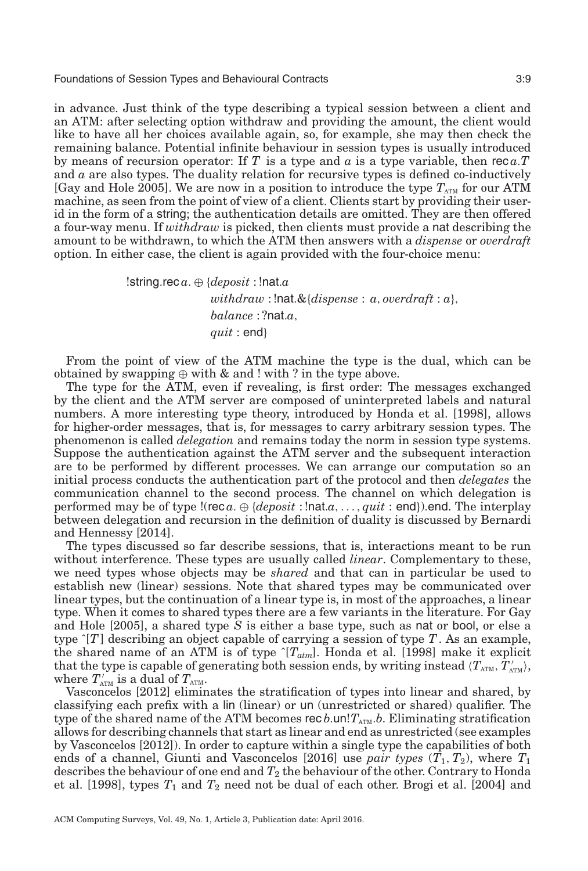in advance. Just think of the type describing a typical session between a client and an ATM: after selecting option withdraw and providing the amount, the client would like to have all her choices available again, so, for example, she may then check the remaining balance. Potential infinite behaviour in session types is usually introduced by means of recursion operator: If  $T$  is a type and  $\alpha$  is a type variable, then rec $\alpha$ . and *a* are also types. The duality relation for recursive types is defined co-inductively [Gay and Hole [2005\]](#page-32-7). We are now in a position to introduce the type  $T_{\text{ATM}}$  for our ATM machine, as seen from the point of view of a client. Clients start by providing their userid in the form of a string; the authentication details are omitted. They are then offered a four-way menu. If *withdraw* is picked, then clients must provide a nat describing the amount to be withdrawn, to which the ATM then answers with a *dispense* or *overdraft* option. In either case, the client is again provided with the four-choice menu:

> !string.rec *a*. ⊕ {*deposit* : !nat.*a withdraw* : !nat.&{*dispense* : *a*, *overdraft* : *a*}, *balance* : ?nat.*a*, *quit* : end}

From the point of view of the ATM machine the type is the dual, which can be obtained by swapping  $\oplus$  with  $\&$  and ! with ? in the type above.

The type for the ATM, even if revealing, is first order: The messages exchanged by the client and the ATM server are composed of uninterpreted labels and natural numbers. A more interesting type theory, introduced by Honda et al. [\[1998\]](#page-32-8), allows for higher-order messages, that is, for messages to carry arbitrary session types. The phenomenon is called *delegation* and remains today the norm in session type systems. Suppose the authentication against the ATM server and the subsequent interaction are to be performed by different processes. We can arrange our computation so an initial process conducts the authentication part of the protocol and then *delegates* the communication channel to the second process. The channel on which delegation is performed may be of type !(rec *a*. ⊕ {*deposit* : !nat.*a*,..., *quit* : end}).end. The interplay between delegation and recursion in the definition of duality is discussed by Bernardi and Hennessy [\[2014\]](#page-29-5).

The types discussed so far describe sessions, that is, interactions meant to be run without interference. These types are usually called *linear*. Complementary to these, we need types whose objects may be *shared* and that can in particular be used to establish new (linear) sessions. Note that shared types may be communicated over linear types, but the continuation of a linear type is, in most of the approaches, a linear type. When it comes to shared types there are a few variants in the literature. For Gay and Hole [\[2005\]](#page-32-7), a shared type *S* is either a base type, such as nat or bool, or else a type ˆ[*T*] describing an object capable of carrying a session of type *T*. As an example, the shared name of an ATM is of type ˆ[*Tatm*]. Honda et al. [\[1998\]](#page-32-8) make it explicit that the type is capable of generating both session ends, by writing instead  $\langle T_\text{\tiny ATM},\tilde T'_\text{\tiny ATM}\rangle,$ where  $T'_{\text{ATM}}$  is a dual of  $T_{\text{ATM}}$ .

Vasconcelos [\[2012\]](#page-35-5) eliminates the stratification of types into linear and shared, by classifying each prefix with a lin (linear) or un (unrestricted or shared) qualifier. The type of the shared name of the ATM becomes rec  $b$ .un! $T_{ATM}$ . $b$ . Eliminating stratification allows for describing channels that start as linear and end as unrestricted (see examples by Vasconcelos [\[2012\]](#page-35-5)). In order to capture within a single type the capabilities of both ends of a channel, Giunti and Vasconcelos [\[2016\]](#page-32-9) use *pair types*  $(T_1, T_2)$ , where  $T_1$ describes the behaviour of one end and  $T_2$  the behaviour of the other. Contrary to Honda et al.  $[1998]$ , types  $T_1$  and  $T_2$  need not be dual of each other. Brogi et al.  $[2004]$  and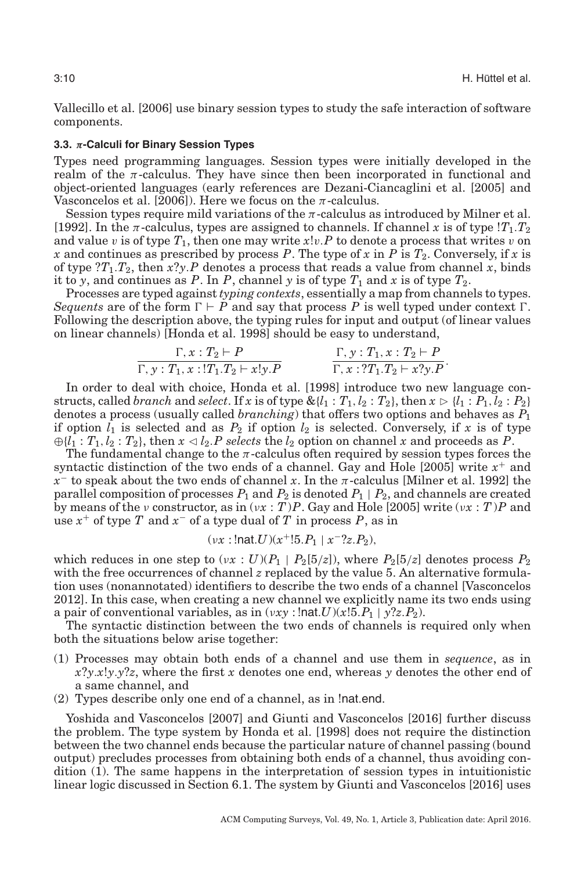Vallecillo et al. [\[2006\]](#page-35-6) use binary session types to study the safe interaction of software components.

#### **3.3.** *π***-Calculi for Binary Session Types**

<span id="page-9-0"></span>Types need programming languages. Session types were initially developed in the realm of the  $\pi$ -calculus. They have since then been incorporated in functional and object-oriented languages (early references are Dezani-Ciancaglini et al. [\[2005\]](#page-31-10) and Vasconcelos et al.  $[2006]$ ). Here we focus on the  $\pi$ -calculus.

Session types require mild variations of the  $\pi$ -calculus as introduced by Milner et al. [\[1992\]](#page-33-9). In the  $\pi$ -calculus, types are assigned to channels. If channel x is of type  $T_1$ .  $T_2$ and value v is of type  $T_1$ , then one may write  $x!v.P$  to denote a process that writes v on *x* and continues as prescribed by process *P*. The type of *x* in *P* is  $T_2$ . Conversely, if *x* is of type  $?T_1.T_2$ , then  $x?y.P$  denotes a process that reads a value from channel x, binds it to *y*, and continues as *P*. In *P*, channel *y* is of type  $T_1$  and *x* is of type  $T_2$ .

Processes are typed against *typing contexts*, essentially a map from channels to types. *Sequents* are of the form  $\Gamma \vdash P$  and say that process P is well typed under context  $\Gamma$ . Following the description above, the typing rules for input and output (of linear values on linear channels) [Honda et al. [1998\]](#page-32-8) should be easy to understand,

$$
\frac{\Gamma, x: T_2 \vdash P}{\Gamma, y: T_1, x: !T_1.T_2 \vdash x!y.P}
$$
\n
$$
\frac{\Gamma, y: T_1, x: T_2 \vdash P}{\Gamma, x: ?T_1.T_2 \vdash x?y.P}.
$$

In order to deal with choice, Honda et al. [\[1998\]](#page-32-8) introduce two new language constructs, called *branch* and *select*. If *x* is of type  $\&{l_1 : T_1, l_2 : T_2}$ , then  $x \triangleright {l_1 : P_1, l_2 : P_2}$ denotes a process (usually called *branching*) that offers two options and behaves as *P*<sup>1</sup> if option  $l_1$  is selected and as  $P_2$  if option  $l_2$  is selected. Conversely, if x is of type  $\bigoplus \{l_1 : T_1, l_2 : T_2\}$ , then  $x \triangleleft l_2$ . *P* selects the  $l_2$  option on channel *x* and proceeds as *P*.

The fundamental change to the  $\pi$ -calculus often required by session types forces the syntactic distinction of the two ends of a channel. Gay and Hole [\[2005\]](#page-32-7) write *x*<sup>+</sup> and *x*<sup>−</sup> to speak about the two ends of channel *x*. In the π-calculus [Milner et al. [1992\]](#page-33-9) the parallel composition of processes  $P_1$  and  $P_2$  is denoted  $P_1 \mid P_2$ , and channels are created by means of the *ν* constructor, as in  $(vx : T)P$ . Gay and Hole [\[2005\]](#page-32-7) write  $(vx : T)P$  and use *x*<sup>+</sup> of type *T* and *x*<sup>−</sup> of a type dual of *T* in process *P*, as in

$$
(vx:!nat.U)(x^+!5.P_1 | x^-?z.P_2),
$$

which reduces in one step to  $(\nu x : U)(P_1 \mid P_2[5/z])$ , where  $P_2[5/z]$  denotes process  $P_2$ with the free occurrences of channel *z* replaced by the value 5. An alternative formulation uses (nonannotated) identifiers to describe the two ends of a channel [Vasconcelos [2012\]](#page-35-5). In this case, when creating a new channel we explicitly name its two ends using a pair of conventional variables, as in  $(vxy : \text{Inat } U)(x!5.P_1 | y?z.P_2)$ .

The syntactic distinction between the two ends of channels is required only when both the situations below arise together:

- (1) Processes may obtain both ends of a channel and use them in *sequence*, as in *x*?*y*.*x*!*y*.*y*?*z*, where the first *x* denotes one end, whereas *y* denotes the other end of a same channel, and
- (2) Types describe only one end of a channel, as in !nat.end.

Yoshida and Vasconcelos [\[2007\]](#page-35-8) and Giunti and Vasconcelos [\[2016\]](#page-32-9) further discuss the problem. The type system by Honda et al. [\[1998\]](#page-32-8) does not require the distinction between the two channel ends because the particular nature of channel passing (bound output) precludes processes from obtaining both ends of a channel, thus avoiding condition (1). The same happens in the interpretation of session types in intuitionistic linear logic discussed in Section [6.1.](#page-20-1) The system by Giunti and Vasconcelos [\[2016\]](#page-32-9) uses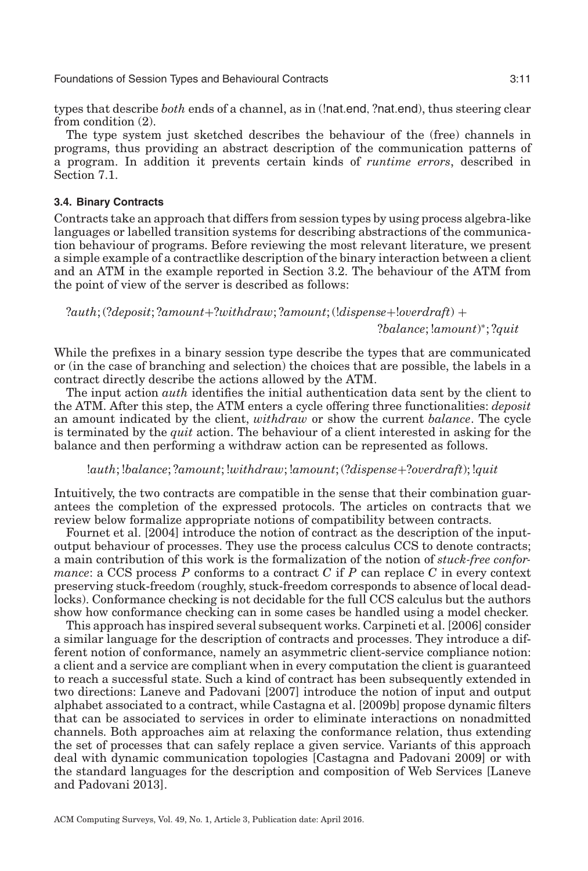types that describe *both* ends of a channel, as in (!nat.end, ?nat.end), thus steering clear from condition (2).

The type system just sketched describes the behaviour of the (free) channels in programs, thus providing an abstract description of the communication patterns of a program. In addition it prevents certain kinds of *runtime errors*, described in Section [7.1.](#page-23-1)

## **3.4. Binary Contracts**

<span id="page-10-0"></span>Contracts take an approach that differs from session types by using process algebra-like languages or labelled transition systems for describing abstractions of the communication behaviour of programs. Before reviewing the most relevant literature, we present a simple example of a contractlike description of the binary interaction between a client and an ATM in the example reported in Section [3.2.](#page-7-0) The behaviour of the ATM from the point of view of the server is described as follows:

# ?*auth*; (?*deposit*; ?*amount*+?*withdraw*; ?*amount*; (!*dispense*+!*overdraft*) + ?*balance*; !*amount*) <sup>∗</sup>; ?*quit*

While the prefixes in a binary session type describe the types that are communicated or (in the case of branching and selection) the choices that are possible, the labels in a contract directly describe the actions allowed by the ATM.

The input action *auth* identifies the initial authentication data sent by the client to the ATM. After this step, the ATM enters a cycle offering three functionalities: *deposit* an amount indicated by the client, *withdraw* or show the current *balance*. The cycle is terminated by the *quit* action. The behaviour of a client interested in asking for the balance and then performing a withdraw action can be represented as follows.

#### !*auth*; !*balance*; ?*amount*; !*withdraw*; !*amount*; (?*dispense*+?*overdraft*); !*quit*

Intuitively, the two contracts are compatible in the sense that their combination guarantees the completion of the expressed protocols. The articles on contracts that we review below formalize appropriate notions of compatibility between contracts.

Fournet et al. [\[2004\]](#page-31-11) introduce the notion of contract as the description of the inputoutput behaviour of processes. They use the process calculus CCS to denote contracts; a main contribution of this work is the formalization of the notion of *stuck-free conformance*: a CCS process  $P$  conforms to a contract  $C$  if  $P$  can replace  $C$  in every context preserving stuck-freedom (roughly, stuck-freedom corresponds to absence of local deadlocks). Conformance checking is not decidable for the full CCS calculus but the authors show how conformance checking can in some cases be handled using a model checker.

This approach has inspired several subsequent works. Carpineti et al. [\[2006\]](#page-30-6) consider a similar language for the description of contracts and processes. They introduce a different notion of conformance, namely an asymmetric client-service compliance notion: a client and a service are compliant when in every computation the client is guaranteed to reach a successful state. Such a kind of contract has been subsequently extended in two directions: Laneve and Padovani [\[2007\]](#page-33-10) introduce the notion of input and output alphabet associated to a contract, while Castagna et al. [\[2009b\]](#page-30-7) propose dynamic filters that can be associated to services in order to eliminate interactions on nonadmitted channels. Both approaches aim at relaxing the conformance relation, thus extending the set of processes that can safely replace a given service. Variants of this approach deal with dynamic communication topologies [Castagna and Padovani [2009\]](#page-30-8) or with the standard languages for the description and composition of Web Services [Laneve and Padovani [2013\]](#page-33-11).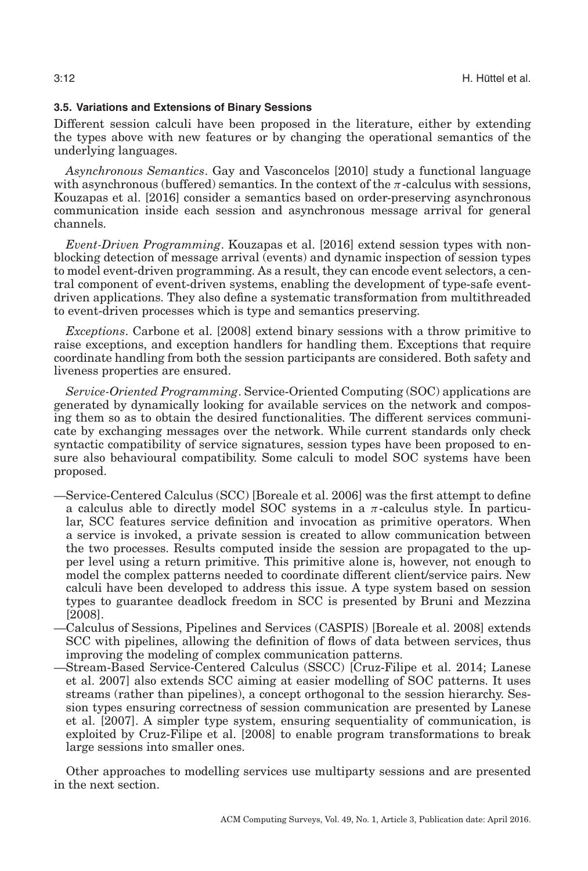## **3.5. Variations and Extensions of Binary Sessions**

<span id="page-11-0"></span>Different session calculi have been proposed in the literature, either by extending the types above with new features or by changing the operational semantics of the underlying languages.

*Asynchronous Semantics*. Gay and Vasconcelos [\[2010\]](#page-32-10) study a functional language with asynchronous (buffered) semantics. In the context of the  $\pi$ -calculus with sessions, Kouzapas et al. [\[2016\]](#page-33-12) consider a semantics based on order-preserving asynchronous communication inside each session and asynchronous message arrival for general channels.

*Event-Driven Programming*. Kouzapas et al. [\[2016\]](#page-33-12) extend session types with nonblocking detection of message arrival (events) and dynamic inspection of session types to model event-driven programming. As a result, they can encode event selectors, a central component of event-driven systems, enabling the development of type-safe eventdriven applications. They also define a systematic transformation from multithreaded to event-driven processes which is type and semantics preserving.

*Exceptions*. Carbone et al. [\[2008\]](#page-30-9) extend binary sessions with a throw primitive to raise exceptions, and exception handlers for handling them. Exceptions that require coordinate handling from both the session participants are considered. Both safety and liveness properties are ensured.

*Service-Oriented Programming*. Service-Oriented Computing (SOC) applications are generated by dynamically looking for available services on the network and composing them so as to obtain the desired functionalities. The different services communicate by exchanging messages over the network. While current standards only check syntactic compatibility of service signatures, session types have been proposed to ensure also behavioural compatibility. Some calculi to model SOC systems have been proposed.

- —Service-Centered Calculus (SCC) [Boreale et al. [2006\]](#page-29-6) was the first attempt to define a calculus able to directly model SOC systems in a  $\pi$ -calculus style. In particular, SCC features service definition and invocation as primitive operators. When a service is invoked, a private session is created to allow communication between the two processes. Results computed inside the session are propagated to the upper level using a return primitive. This primitive alone is, however, not enough to model the complex patterns needed to coordinate different client/service pairs. New calculi have been developed to address this issue. A type system based on session types to guarantee deadlock freedom in SCC is presented by Bruni and Mezzina [\[2008\]](#page-30-10).
- —Calculus of Sessions, Pipelines and Services (CASPIS) [Boreale et al. [2008\]](#page-29-7) extends SCC with pipelines, allowing the definition of flows of data between services, thus improving the modeling of complex communication patterns.
- —Stream-Based Service-Centered Calculus (SSCC) [Cruz-Filipe et al. [2014;](#page-31-12) Lanese et al. [2007\]](#page-33-13) also extends SCC aiming at easier modelling of SOC patterns. It uses streams (rather than pipelines), a concept orthogonal to the session hierarchy. Session types ensuring correctness of session communication are presented by Lanese et al. [\[2007\]](#page-33-13). A simpler type system, ensuring sequentiality of communication, is exploited by Cruz-Filipe et al. [\[2008\]](#page-31-13) to enable program transformations to break large sessions into smaller ones.

Other approaches to modelling services use multiparty sessions and are presented in the next section.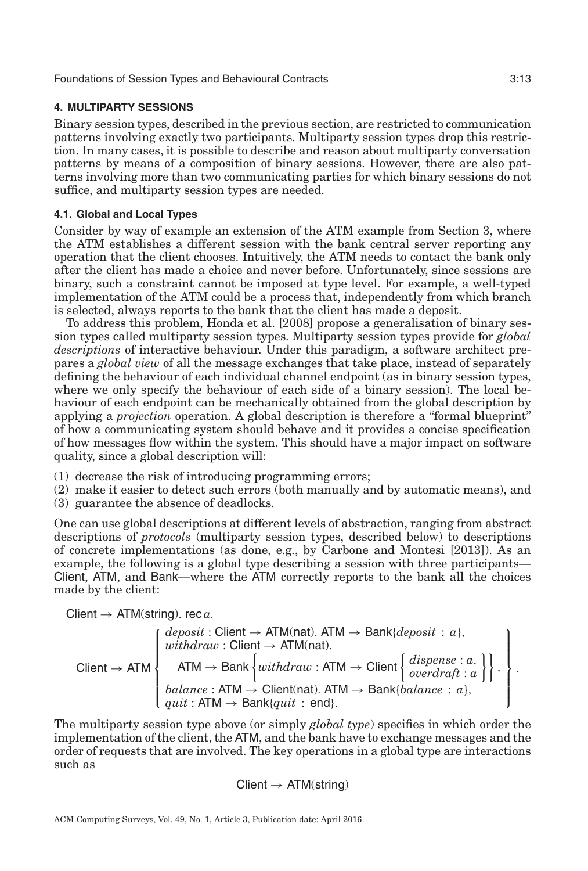## **4. MULTIPARTY SESSIONS**

<span id="page-12-0"></span>Binary session types, described in the previous section, are restricted to communication patterns involving exactly two participants. Multiparty session types drop this restriction. In many cases, it is possible to describe and reason about multiparty conversation patterns by means of a composition of binary sessions. However, there are also patterns involving more than two communicating parties for which binary sessions do not suffice, and multiparty session types are needed.

## **4.1. Global and Local Types**

<span id="page-12-1"></span>Consider by way of example an extension of the ATM example from Section [3,](#page-6-0) where the ATM establishes a different session with the bank central server reporting any operation that the client chooses. Intuitively, the ATM needs to contact the bank only after the client has made a choice and never before. Unfortunately, since sessions are binary, such a constraint cannot be imposed at type level. For example, a well-typed implementation of the ATM could be a process that, independently from which branch is selected, always reports to the bank that the client has made a deposit.

To address this problem, Honda et al. [\[2008\]](#page-32-11) propose a generalisation of binary session types called multiparty session types. Multiparty session types provide for *global descriptions* of interactive behaviour. Under this paradigm, a software architect prepares a *global view* of all the message exchanges that take place, instead of separately defining the behaviour of each individual channel endpoint (as in binary session types, where we only specify the behaviour of each side of a binary session). The local behaviour of each endpoint can be mechanically obtained from the global description by applying a *projection* operation. A global description is therefore a "formal blueprint" of how a communicating system should behave and it provides a concise specification of how messages flow within the system. This should have a major impact on software quality, since a global description will:

- (1) decrease the risk of introducing programming errors;
- (2) make it easier to detect such errors (both manually and by automatic means), and
- (3) guarantee the absence of deadlocks.

One can use global descriptions at different levels of abstraction, ranging from abstract descriptions of *protocols* (multiparty session types, described below) to descriptions of concrete implementations (as done, e.g., by Carbone and Montesi [\[2013\]](#page-30-11)). As an example, the following is a global type describing a session with three participants— Client, ATM, and Bank—where the ATM correctly reports to the bank all the choices made by the client:

Client 
$$
\rightarrow
$$
 ATM(string). rec  $a$ .

$$
\text{Client} \rightarrow \text{ATM} \left\{ \begin{aligned} &\text{deposit}: \text{Client} \rightarrow \text{ATM(nat)}. \text{ATM} \rightarrow \text{Bank} \{\text{deposit}: a\}, \\ &\text{with} &\text{draw}: \text{Client} \rightarrow \text{ATM(nat)}. \\ &\text{ATM} \rightarrow \text{Bank} \left\{ \text{with} &\text{draw}: \text{ATM} \rightarrow \text{Client} \left\{ \text{disperse}: a, \atop \text{overdrift}: a \right\} \right\}, \\ &\text{balance}: \text{ATM} \rightarrow \text{Client(nat)}. \text{ATM} \rightarrow \text{Bank} \{\text{balance}: a\}, \\ &\text{quit}: \text{ATM} \rightarrow \text{Bank} \{\text{quit}: \text{ end}\}. \end{aligned} \right\}.
$$

The multiparty session type above (or simply *global type*) specifies in which order the implementation of the client, the ATM, and the bank have to exchange messages and the order of requests that are involved. The key operations in a global type are interactions such as

$$
Client \rightarrow ATM(string)
$$

ACM Computing Surveys, Vol. 49, No. 1, Article 3, Publication date: April 2016.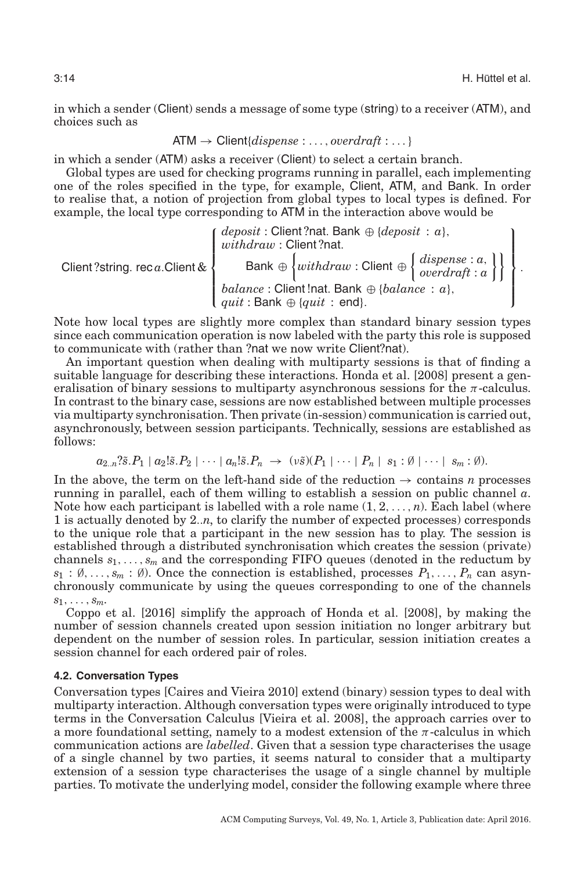in which a sender (Client) sends a message of some type (string) to a receiver (ATM), and choices such as

$$
ATM \rightarrow Client(dispense : \dots, overdraft : \dots)
$$

in which a sender (ATM) asks a receiver (Client) to select a certain branch.

Global types are used for checking programs running in parallel, each implementing one of the roles specified in the type, for example, Client, ATM, and Bank. In order to realise that, a notion of projection from global types to local types is defined. For example, the local type corresponding to ATM in the interaction above would be

Client ?string. rec *a*.Client &  $\sqrt{ }$  $\int$  $\begin{bmatrix} \frac{1}{2} & \frac{1}{2} & \frac{1}{2} & \frac{1}{2} & \frac{1}{2} & \frac{1}{2} & \frac{1}{2} & \frac{1}{2} & \frac{1}{2} & \frac{1}{2} & \frac{1}{2} & \frac{1}{2} & \frac{1}{2} & \frac{1}{2} & \frac{1}{2} & \frac{1}{2} & \frac{1}{2} & \frac{1}{2} & \frac{1}{2} & \frac{1}{2} & \frac{1}{2} & \frac{1}{2} & \frac{1}{2} & \frac{1}{2} & \frac{1}{2} & \frac{1}{2} & \frac{1}{2$ *deposit* : Client ?nat. Bank ⊕ {*deposit* : *a*}, *withdraw* : Client ?nat. Bank ⊕ *withdraw* : Client ⊕ *dispense* : *a*, *overdraft* : *a*  $\mathbf{1}$ *balance* : Client !nat. Bank ⊕ {*balance* : *a*},  $uit :$  Bank  $\oplus$  {*quit* : end}.  $\mathbf{I}$  $\frac{1}{\sqrt{2\pi}}$  $\int$ .

Note how local types are slightly more complex than standard binary session types since each communication operation is now labeled with the party this role is supposed to communicate with (rather than ?nat we now write Client?nat).

An important question when dealing with multiparty sessions is that of finding a suitable language for describing these interactions. Honda et al. [\[2008\]](#page-32-11) present a generalisation of binary sessions to multiparty asynchronous sessions for the  $\pi$ -calculus. In contrast to the binary case, sessions are now established between multiple processes via multiparty synchronisation. Then private (in-session) communication is carried out, asynchronously, between session participants. Technically, sessions are established as follows:

$$
a_{2..n}?\tilde{s}.P_1 | a_2!\tilde{s}.P_2 | \cdots | a_n!\tilde{s}.P_n \rightarrow (\nu \tilde{s})(P_1 | \cdots | P_n | s_1 : \emptyset | \cdots | s_m : \emptyset).
$$

In the above, the term on the left-hand side of the reduction  $\rightarrow$  contains *n* processes running in parallel, each of them willing to establish a session on public channel *a*. Note how each participant is labelled with a role name  $(1, 2, \ldots, n)$ . Each label (where 1 is actually denoted by 2..*n*, to clarify the number of expected processes) corresponds to the unique role that a participant in the new session has to play. The session is established through a distributed synchronisation which creates the session (private) channels *s*1,..., *sm* and the corresponding FIFO queues (denoted in the reductum by  $s_1 : \emptyset, \ldots, s_m : \emptyset$ ). Once the connection is established, processes  $P_1, \ldots, P_n$  can asynchronously communicate by using the queues corresponding to one of the channels  $s_1,\ldots,s_m$ .

Coppo et al. [\[2016\]](#page-31-14) simplify the approach of Honda et al. [\[2008\]](#page-32-11), by making the number of session channels created upon session initiation no longer arbitrary but dependent on the number of session roles. In particular, session initiation creates a session channel for each ordered pair of roles.

#### **4.2. Conversation Types**

<span id="page-13-0"></span>Conversation types [Caires and Vieira [2010\]](#page-30-12) extend (binary) session types to deal with multiparty interaction. Although conversation types were originally introduced to type terms in the Conversation Calculus [Vieira et al. [2008\]](#page-35-9), the approach carries over to a more foundational setting, namely to a modest extension of the  $\pi$ -calculus in which communication actions are *labelled*. Given that a session type characterises the usage of a single channel by two parties, it seems natural to consider that a multiparty extension of a session type characterises the usage of a single channel by multiple parties. To motivate the underlying model, consider the following example where three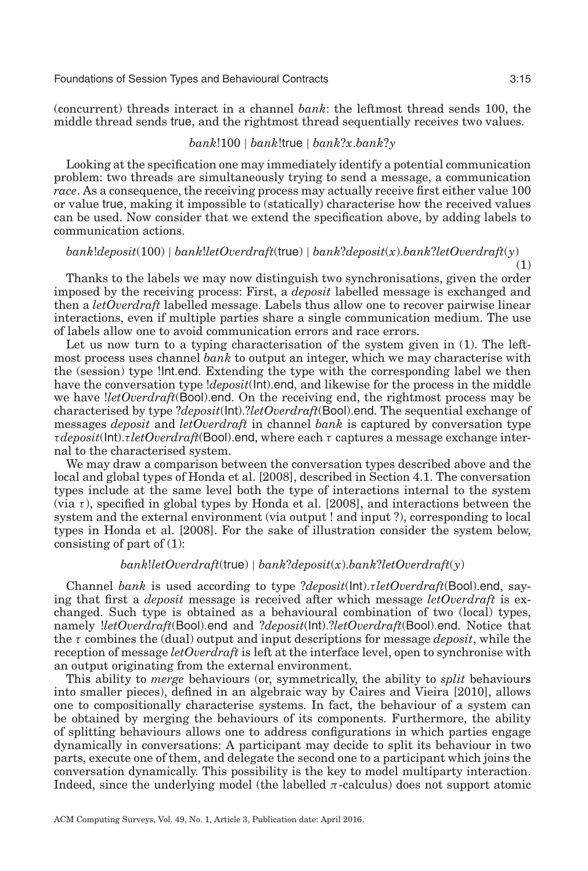(concurrent) threads interact in a channel *bank*: the leftmost thread sends 100, the middle thread sends true, and the rightmost thread sequentially receives two values.

#### *bank*!100 | *bank*!true | *bank*?*x*.*bank*?*y*

Looking at the specification one may immediately identify a potential communication problem: two threads are simultaneously trying to send a message, a communication *race*. As a consequence, the receiving process may actually receive first either value 100 or value true, making it impossible to (statically) characterise how the received values can be used. Now consider that we extend the specification above, by adding labels to communication actions.

## *bank*!*deposit*(100) | *bank*!*letOverdraft*(true) | *bank*?*deposit*(*x*).*bank*?*letOverdraft*(*y*)

Thanks to the labels we may now distinguish two synchronisations, given the order imposed by the receiving process: First, a *deposit* labelled message is exchanged and then a *letOverdraft* labelled message. Labels thus allow one to recover pairwise linear interactions, even if multiple parties share a single communication medium. The use of labels allow one to avoid communication errors and race errors.

Let us now turn to a typing characterisation of the system given in (1). The leftmost process uses channel *bank* to output an integer, which we may characterise with the (session) type !Int.end. Extending the type with the corresponding label we then have the conversation type !*deposit*(Int).end, and likewise for the process in the middle we have !*letOverdraft*(Bool).end. On the receiving end, the rightmost process may be characterised by type ?*deposit*(Int).?*letOverdraft*(Bool).end. The sequential exchange of messages *deposit* and *letOverdraft* in channel *bank* is captured by conversation type τ*deposit*(Int).τ *letOverdraft*(Bool).end, where each τ captures a message exchange internal to the characterised system.

We may draw a comparison between the conversation types described above and the local and global types of Honda et al. [\[2008\]](#page-32-11), described in Section [4.1.](#page-12-1) The conversation types include at the same level both the type of interactions internal to the system (via  $\tau$ ), specified in global types by Honda et al. [\[2008\]](#page-32-11), and interactions between the system and the external environment (via output ! and input ?), corresponding to local types in Honda et al. [\[2008\]](#page-32-11). For the sake of illustration consider the system below, consisting of part of (1):

## *bank*!*letOverdraft*(true) | *bank*?*deposit*(*x*).*bank*?*letOverdraft*(*y*)

Channel *bank* is used according to type ?*deposit*(Int).τ *letOverdraft*(Bool).end, saying that first a *deposit* message is received after which message *letOverdraft* is exchanged. Such type is obtained as a behavioural combination of two (local) types, namely !*letOverdraft*(Bool).end and ?*deposit*(Int).?*letOverdraft*(Bool).end. Notice that the τ combines the (dual) output and input descriptions for message *deposit*, while the reception of message *letOverdraft* is left at the interface level, open to synchronise with an output originating from the external environment.

This ability to *merge* behaviours (or, symmetrically, the ability to *split* behaviours into smaller pieces), defined in an algebraic way by Caires and Vieira [\[2010\]](#page-30-12), allows one to compositionally characterise systems. In fact, the behaviour of a system can be obtained by merging the behaviours of its components. Furthermore, the ability of splitting behaviours allows one to address configurations in which parties engage dynamically in conversations: A participant may decide to split its behaviour in two parts, execute one of them, and delegate the second one to a participant which joins the conversation dynamically. This possibility is the key to model multiparty interaction. Indeed, since the underlying model (the labelled  $\pi$ -calculus) does not support atomic

(1)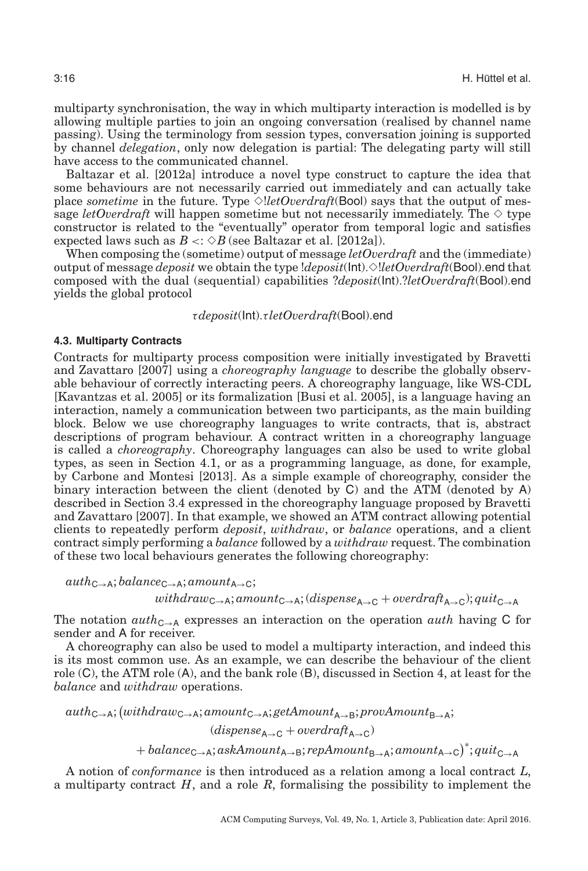multiparty synchronisation, the way in which multiparty interaction is modelled is by allowing multiple parties to join an ongoing conversation (realised by channel name passing). Using the terminology from session types, conversation joining is supported by channel *delegation*, only now delegation is partial: The delegating party will still have access to the communicated channel.

Baltazar et al. [\[2012a\]](#page-29-8) introduce a novel type construct to capture the idea that some behaviours are not necessarily carried out immediately and can actually take place *sometime* in the future. Type  $\Diamond$ *letOverdraft*(Bool) says that the output of message  $letOverdraff$  will happen sometime but not necessarily immediately. The  $\diamond$  type constructor is related to the "eventually" operator from temporal logic and satisfies expected laws such as  $B \leq \Diamond B$  (see Baltazar et al. [\[2012a\]](#page-29-8)).

When composing the (sometime) output of message *letOverdraft* and the (immediate) output of message *deposit* we obtain the type !*deposit*(Int).✸!*letOverdraft*(Bool).end that composed with the dual (sequential) capabilities ?*deposit*(Int).?*letOverdraft*(Bool).end yields the global protocol

<span id="page-15-0"></span>τ*deposit*(Int).τ *letOverdraft*(Bool).end

#### **4.3. Multiparty Contracts**

Contracts for multiparty process composition were initially investigated by Bravetti and Zavattaro [\[2007\]](#page-30-13) using a *choreography language* to describe the globally observable behaviour of correctly interacting peers. A choreography language, like WS-CDL [Kavantzas et al. [2005\]](#page-33-14) or its formalization [Busi et al. [2005\]](#page-30-14), is a language having an interaction, namely a communication between two participants, as the main building block. Below we use choreography languages to write contracts, that is, abstract descriptions of program behaviour. A contract written in a choreography language is called a *choreography*. Choreography languages can also be used to write global types, as seen in Section [4.1,](#page-12-1) or as a programming language, as done, for example, by Carbone and Montesi [\[2013\]](#page-30-11). As a simple example of choreography, consider the binary interaction between the client (denoted by C) and the ATM (denoted by A) described in Section [3.4](#page-10-0) expressed in the choreography language proposed by Bravetti and Zavattaro [\[2007\]](#page-30-13). In that example, we showed an ATM contract allowing potential clients to repeatedly perform *deposit*, *withdraw*, or *balance* operations, and a client contract simply performing a *balance* followed by a *withdraw* request. The combination of these two local behaviours generates the following choreography:

 $auth_{C\rightarrow A}$ ; *balance*<sub>C→A</sub>; *amount*<sub>A→C</sub>; *withdraw*C→A; *amount*C→A; (*dispense*A→<sup>C</sup> + *overdraft*A→C); *quit*C→<sup>A</sup>

The notation  $auth_{\mathbb{C}\rightarrow\mathbb{A}}$  expresses an interaction on the operation *auth* having C for sender and A for receiver.

A choreography can also be used to model a multiparty interaction, and indeed this is its most common use. As an example, we can describe the behaviour of the client role (C), the ATM role (A), and the bank role (B), discussed in Section [4,](#page-12-0) at least for the *balance* and *withdraw* operations.

 $\mathit{auth}_{\mathsf{C}\rightarrow\mathsf{A}}; (with draw_{\mathsf{C}\rightarrow\mathsf{A}}; amount_{\mathsf{C}\rightarrow\mathsf{A}}; getAmount_{\mathsf{A}\rightarrow\mathsf{B}}; provAmount_{\mathsf{B}\rightarrow\mathsf{A}};$  $(dispense_{A\rightarrow C} + overdraft_{A\rightarrow C})$ 

+ *balance*C→A; *askAmount*A→B; *repAmount*B→A; *amount*A→<sup>C</sup> ∗ ; *quit*C→<sup>A</sup>

A notion of *conformance* is then introduced as a relation among a local contract *L*, a multiparty contract *H*, and a role *R*, formalising the possibility to implement the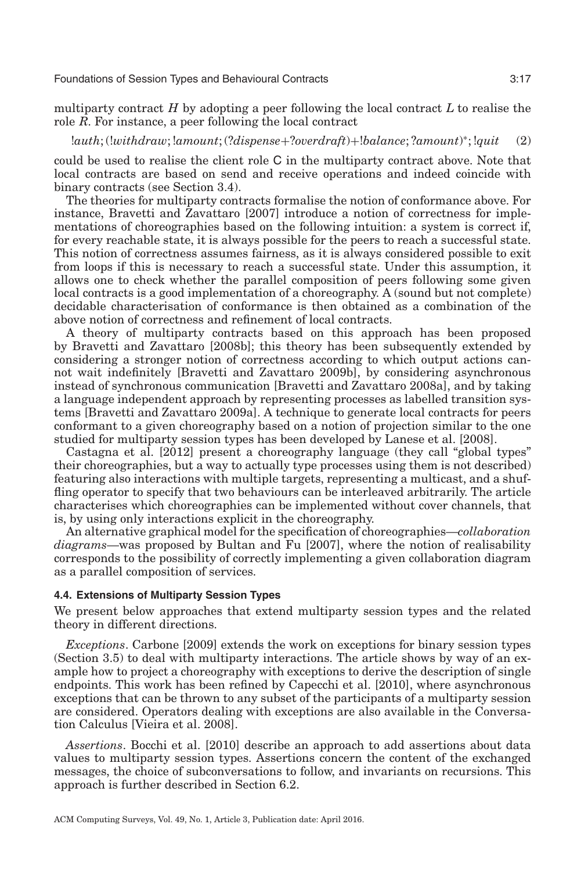multiparty contract *H* by adopting a peer following the local contract *L* to realise the role *R*. For instance, a peer following the local contract

!*auth*; (!*withdraw*; !*amount*; (?*dispense*+?*overdraft*)+!*balance*; ?*amount*) <sup>∗</sup>; !*quit* (2)

could be used to realise the client role C in the multiparty contract above. Note that local contracts are based on send and receive operations and indeed coincide with binary contracts (see Section [3.4\)](#page-10-0).

The theories for multiparty contracts formalise the notion of conformance above. For instance, Bravetti and Zavattaro [\[2007\]](#page-30-13) introduce a notion of correctness for implementations of choreographies based on the following intuition: a system is correct if, for every reachable state, it is always possible for the peers to reach a successful state. This notion of correctness assumes fairness, as it is always considered possible to exit from loops if this is necessary to reach a successful state. Under this assumption, it allows one to check whether the parallel composition of peers following some given local contracts is a good implementation of a choreography. A (sound but not complete) decidable characterisation of conformance is then obtained as a combination of the above notion of correctness and refinement of local contracts.

A theory of multiparty contracts based on this approach has been proposed by Bravetti and Zavattaro [\[2008b\]](#page-30-15); this theory has been subsequently extended by considering a stronger notion of correctness according to which output actions cannot wait indefinitely [Bravetti and Zavattaro [2009b\]](#page-30-16), by considering asynchronous instead of synchronous communication [Bravetti and Zavattaro [2008a\]](#page-30-17), and by taking a language independent approach by representing processes as labelled transition systems [Bravetti and Zavattaro [2009a\]](#page-30-18). A technique to generate local contracts for peers conformant to a given choreography based on a notion of projection similar to the one studied for multiparty session types has been developed by Lanese et al. [\[2008\]](#page-33-15).

Castagna et al. [\[2012\]](#page-30-19) present a choreography language (they call "global types" their choreographies, but a way to actually type processes using them is not described) featuring also interactions with multiple targets, representing a multicast, and a shuffling operator to specify that two behaviours can be interleaved arbitrarily. The article characterises which choreographies can be implemented without cover channels, that is, by using only interactions explicit in the choreography.

An alternative graphical model for the specification of choreographies—*collaboration diagrams*—was proposed by Bultan and Fu [\[2007\]](#page-30-20), where the notion of realisability corresponds to the possibility of correctly implementing a given collaboration diagram as a parallel composition of services.

## **4.4. Extensions of Multiparty Session Types**

We present below approaches that extend multiparty session types and the related theory in different directions.

*Exceptions*. Carbone [\[2009\]](#page-30-21) extends the work on exceptions for binary session types (Section [3.5\)](#page-11-0) to deal with multiparty interactions. The article shows by way of an example how to project a choreography with exceptions to derive the description of single endpoints. This work has been refined by Capecchi et al. [\[2010\]](#page-30-22), where asynchronous exceptions that can be thrown to any subset of the participants of a multiparty session are considered. Operators dealing with exceptions are also available in the Conversation Calculus [Vieira et al. [2008\]](#page-35-9).

*Assertions*. Bocchi et al. [\[2010\]](#page-29-9) describe an approach to add assertions about data values to multiparty session types. Assertions concern the content of the exchanged messages, the choice of subconversations to follow, and invariants on recursions. This approach is further described in Section [6.2.](#page-22-0)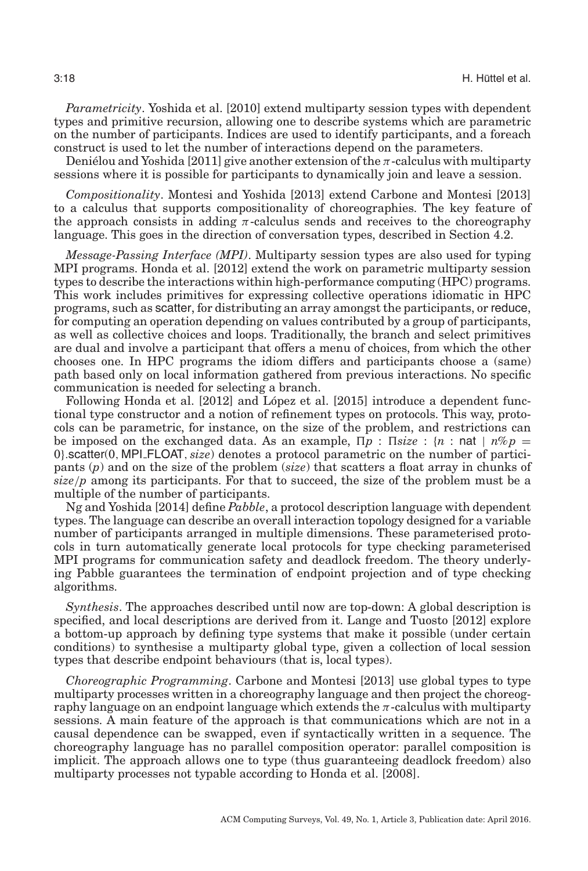*Parametricity*. Yoshida et al. [\[2010\]](#page-35-10) extend multiparty session types with dependent types and primitive recursion, allowing one to describe systems which are parametric on the number of participants. Indices are used to identify participants, and a foreach construct is used to let the number of interactions depend on the parameters.

Denielou and Yoshida [\[2011\]](#page-31-15) give another extension of the  $\pi$ -calculus with multiparty sessions where it is possible for participants to dynamically join and leave a session.

*Compositionality*. Montesi and Yoshida [\[2013\]](#page-33-16) extend Carbone and Montesi [\[2013\]](#page-30-11) to a calculus that supports compositionality of choreographies. The key feature of the approach consists in adding  $\pi$ -calculus sends and receives to the choreography language. This goes in the direction of conversation types, described in Section [4.2.](#page-13-0)

*Message-Passing Interface (MPI)*. Multiparty session types are also used for typing MPI programs. Honda et al. [\[2012\]](#page-32-12) extend the work on parametric multiparty session types to describe the interactions within high-performance computing (HPC) programs. This work includes primitives for expressing collective operations idiomatic in HPC programs, such as scatter, for distributing an array amongst the participants, or reduce, for computing an operation depending on values contributed by a group of participants, as well as collective choices and loops. Traditionally, the branch and select primitives are dual and involve a participant that offers a menu of choices, from which the other chooses one. In HPC programs the idiom differs and participants choose a (same) path based only on local information gathered from previous interactions. No specific communication is needed for selecting a branch.

Following Honda et al. [\[2012\]](#page-32-12) and López et al. [\[2015\]](#page-33-17) introduce a dependent functional type constructor and a notion of refinement types on protocols. This way, protocols can be parametric, for instance, on the size of the problem, and restrictions can be imposed on the exchanged data. As an example,  $\prod p : \text{Iisize} : \{n : \text{nat} \mid n\%p =$ 0}.scatter(0, MPI FLOAT, *size*) denotes a protocol parametric on the number of participants (*p*) and on the size of the problem (*size*) that scatters a float array in chunks of  $size/p$  among its participants. For that to succeed, the size of the problem must be a multiple of the number of participants.

Ng and Yoshida [\[2014\]](#page-34-18) define *Pabble*, a protocol description language with dependent types. The language can describe an overall interaction topology designed for a variable number of participants arranged in multiple dimensions. These parameterised protocols in turn automatically generate local protocols for type checking parameterised MPI programs for communication safety and deadlock freedom. The theory underlying Pabble guarantees the termination of endpoint projection and of type checking algorithms.

*Synthesis*. The approaches described until now are top-down: A global description is specified, and local descriptions are derived from it. Lange and Tuosto [\[2012\]](#page-33-18) explore a bottom-up approach by defining type systems that make it possible (under certain conditions) to synthesise a multiparty global type, given a collection of local session types that describe endpoint behaviours (that is, local types).

*Choreographic Programming*. Carbone and Montesi [\[2013\]](#page-30-11) use global types to type multiparty processes written in a choreography language and then project the choreography language on an endpoint language which extends the  $\pi$ -calculus with multiparty sessions. A main feature of the approach is that communications which are not in a causal dependence can be swapped, even if syntactically written in a sequence. The choreography language has no parallel composition operator: parallel composition is implicit. The approach allows one to type (thus guaranteeing deadlock freedom) also multiparty processes not typable according to Honda et al. [\[2008\]](#page-32-11).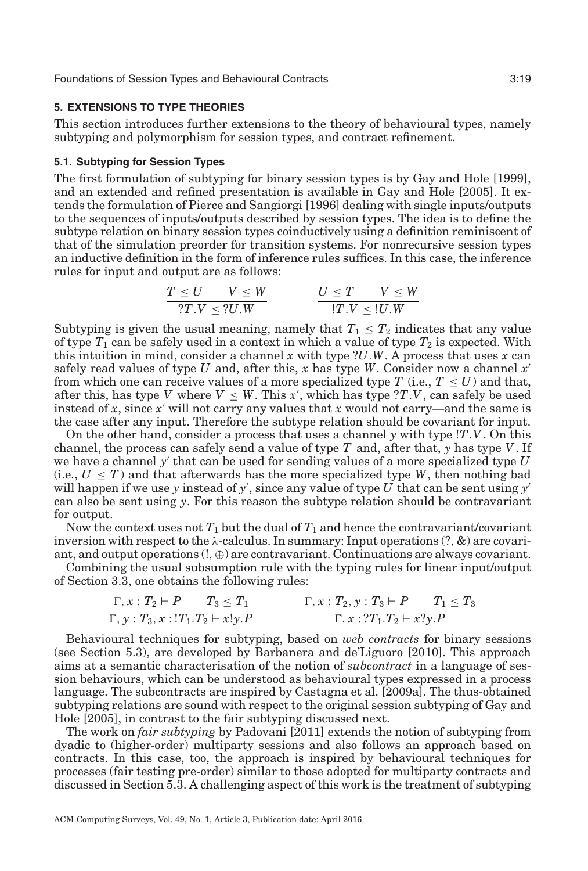## **5. EXTENSIONS TO TYPE THEORIES**

This section introduces further extensions to the theory of behavioural types, namely subtyping and polymorphism for session types, and contract refinement.

#### **5.1. Subtyping for Session Types**

The first formulation of subtyping for binary session types is by Gay and Hole [\[1999\]](#page-32-13), and an extended and refined presentation is available in Gay and Hole [\[2005\]](#page-32-7). It extends the formulation of Pierce and Sangiorgi [\[1996\]](#page-34-0) dealing with single inputs/outputs to the sequences of inputs/outputs described by session types. The idea is to define the subtype relation on binary session types coinductively using a definition reminiscent of that of the simulation preorder for transition systems. For nonrecursive session types an inductive definition in the form of inference rules suffices. In this case, the inference rules for input and output are as follows:

<span id="page-18-1"></span><span id="page-18-0"></span>
$$
\frac{T \leq U \qquad V \leq W}{?T.V \leq ?U.W} \qquad \qquad \frac{U \leq T \qquad V \leq W}{!T.V \leq !U.W}
$$

Subtyping is given the usual meaning, namely that  $T_1 \n\t\leq T_2$  indicates that any value of type  $T_1$  can be safely used in a context in which a value of type  $T_2$  is expected. With this intuition in mind, consider a channel *x* with type ?*U*.*W*. A process that uses *x* can safely read values of type *U* and, after this, *x* has type *W*. Consider now a channel *x* from which one can receive values of a more specialized type  $T$  (i.e.,  $T \leq U$ ) and that, after this, has type *V* where  $V \leq W$ . This x', which has type  $?T.V$ , can safely be used instead of  $x$ , since  $x'$  will not carry any values that  $x$  would not carry—and the same is the case after any input. Therefore the subtype relation should be covariant for input.

On the other hand, consider a process that uses a channel  $\gamma$  with type  $\langle T.V. \text{On this} \rangle$ channel, the process can safely send a value of type *T* and, after that, *y* has type *V* . If we have a channel  $\gamma'$  that can be used for sending values of a more specialized type  $U$  $(i.e., U \leq T)$  and that afterwards has the more specialized type *W*, then nothing bad will happen if we use *y* instead of *y* , since any value of type *U* that can be sent using *y* can also be sent using *y*. For this reason the subtype relation should be contravariant for output.

Now the context uses not  $T_1$  but the dual of  $T_1$  and hence the contravariant/covariant inversion with respect to the  $\lambda$ -calculus. In summary: Input operations  $(?, \&)$  are covariant, and output operations  $(l, \oplus)$  are contravariant. Continuations are always covariant.

Combining the usual subsumption rule with the typing rules for linear input/output of Section [3.3,](#page-9-0) one obtains the following rules:

$$
\frac{\Gamma, x: T_2 \vdash P \qquad T_3 \leq T_1}{\Gamma, y: T_3, x: !T_1.T_2 \vdash x!y.P}
$$
\n
$$
\frac{\Gamma, x: T_2, y: T_3 \vdash P \qquad T_1 \leq T_3}{\Gamma, x: ?T_1.T_2 \vdash x?y.P}
$$

Behavioural techniques for subtyping, based on *web contracts* for binary sessions (see Section [5.3\)](#page-19-0), are developed by Barbanera and de'Liguoro [\[2010\]](#page-29-10). This approach aims at a semantic characterisation of the notion of *subcontract* in a language of session behaviours, which can be understood as behavioural types expressed in a process language. The subcontracts are inspired by Castagna et al. [\[2009a\]](#page-30-23). The thus-obtained subtyping relations are sound with respect to the original session subtyping of Gay and Hole [\[2005\]](#page-32-7), in contrast to the fair subtyping discussed next.

The work on *fair subtyping* by Padovani [\[2011\]](#page-34-19) extends the notion of subtyping from dyadic to (higher-order) multiparty sessions and also follows an approach based on contracts. In this case, too, the approach is inspired by behavioural techniques for processes (fair testing pre-order) similar to those adopted for multiparty contracts and discussed in Section [5.3.](#page-19-0) A challenging aspect of this work is the treatment of subtyping

ACM Computing Surveys, Vol. 49, No. 1, Article 3, Publication date: April 2016.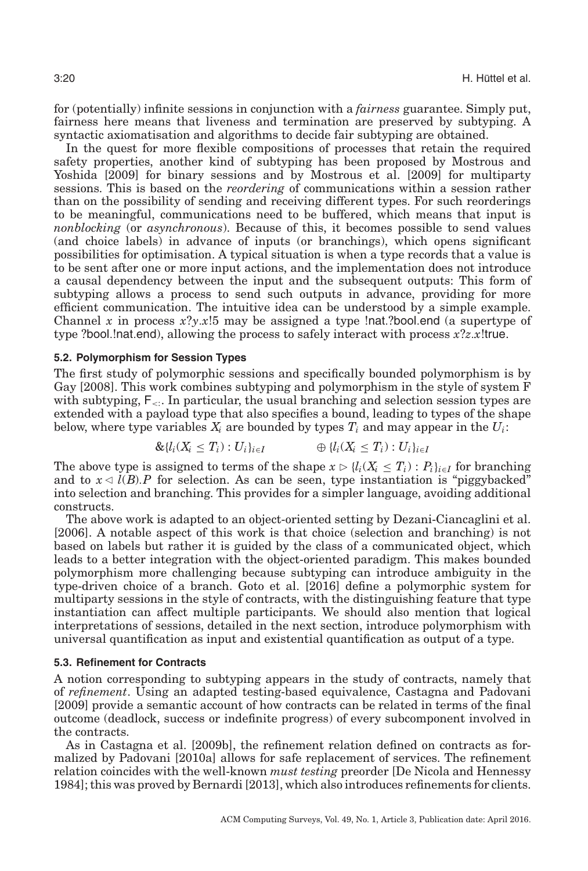for (potentially) infinite sessions in conjunction with a *fairness* guarantee. Simply put, fairness here means that liveness and termination are preserved by subtyping. A syntactic axiomatisation and algorithms to decide fair subtyping are obtained.

In the quest for more flexible compositions of processes that retain the required safety properties, another kind of subtyping has been proposed by Mostrous and Yoshida [\[2009\]](#page-34-20) for binary sessions and by Mostrous et al. [\[2009\]](#page-34-21) for multiparty sessions. This is based on the *reordering* of communications within a session rather than on the possibility of sending and receiving different types. For such reorderings to be meaningful, communications need to be buffered, which means that input is *nonblocking* (or *asynchronous*). Because of this, it becomes possible to send values (and choice labels) in advance of inputs (or branchings), which opens significant possibilities for optimisation. A typical situation is when a type records that a value is to be sent after one or more input actions, and the implementation does not introduce a causal dependency between the input and the subsequent outputs: This form of subtyping allows a process to send such outputs in advance, providing for more efficient communication. The intuitive idea can be understood by a simple example. Channel *x* in process *x*?*y*.*x*!5 may be assigned a type !nat.?bool.end (a supertype of type ?bool.!nat.end), allowing the process to safely interact with process *x*?*z*.*x*!true.

#### **5.2. Polymorphism for Session Types**

The first study of polymorphic sessions and specifically bounded polymorphism is by Gay [\[2008\]](#page-32-14). This work combines subtyping and polymorphism in the style of system F with subtyping,  $F_{\leq 1}$ . In particular, the usual branching and selection session types are extended with a payload type that also specifies a bound, leading to types of the shape below, where type variables  $X_i$  are bounded by types  $T_i$  and may appear in the  $U_i$ :

$$
\&\{l_i(X_i \leq T_i): U_i\}_{i \in I} \qquad \qquad \oplus \{l_i(X_i \leq T_i): U_i\}_{i \in I}
$$

The above type is assigned to terms of the shape  $x \triangleright \{l_i(X_i \leq T_i) : P_i\}_{i \in I}$  for branching and to  $x \triangleleft l(B)$ . P for selection. As can be seen, type instantiation is "piggybacked" into selection and branching. This provides for a simpler language, avoiding additional constructs.

The above work is adapted to an object-oriented setting by Dezani-Ciancaglini et al. [\[2006\]](#page-31-16). A notable aspect of this work is that choice (selection and branching) is not based on labels but rather it is guided by the class of a communicated object, which leads to a better integration with the object-oriented paradigm. This makes bounded polymorphism more challenging because subtyping can introduce ambiguity in the type-driven choice of a branch. Goto et al. [\[2016\]](#page-32-15) define a polymorphic system for multiparty sessions in the style of contracts, with the distinguishing feature that type instantiation can affect multiple participants. We should also mention that logical interpretations of sessions, detailed in the next section, introduce polymorphism with universal quantification as input and existential quantification as output of a type.

## **5.3. Refinement for Contracts**

<span id="page-19-0"></span>A notion corresponding to subtyping appears in the study of contracts, namely that of *refinement*. Using an adapted testing-based equivalence, Castagna and Padovani [\[2009\]](#page-30-8) provide a semantic account of how contracts can be related in terms of the final outcome (deadlock, success or indefinite progress) of every subcomponent involved in the contracts.

As in Castagna et al. [\[2009b\]](#page-30-7), the refinement relation defined on contracts as formalized by Padovani [\[2010a\]](#page-34-22) allows for safe replacement of services. The refinement relation coincides with the well-known *must testing* preorder [De Nicola and Hennessy [1984\]](#page-31-17); this was proved by Bernardi [\[2013\]](#page-29-11), which also introduces refinements for clients.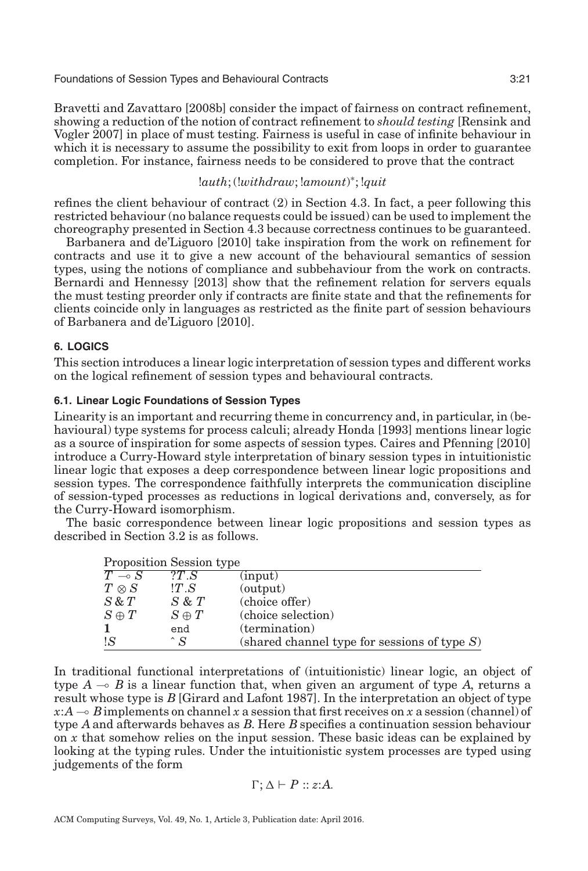Bravetti and Zavattaro [\[2008b\]](#page-30-15) consider the impact of fairness on contract refinement, showing a reduction of the notion of contract refinement to *should testing* [Rensink and Vogler [2007\]](#page-34-23) in place of must testing. Fairness is useful in case of infinite behaviour in which it is necessary to assume the possibility to exit from loops in order to guarantee completion. For instance, fairness needs to be considered to prove that the contract

# !*auth*; (!*withdraw*; !*amount*) <sup>∗</sup>; !*quit*

refines the client behaviour of contract (2) in Section [4.3.](#page-15-0) In fact, a peer following this restricted behaviour (no balance requests could be issued) can be used to implement the choreography presented in Section [4.3](#page-15-0) because correctness continues to be guaranteed.

Barbanera and de'Liguoro [\[2010\]](#page-29-10) take inspiration from the work on refinement for contracts and use it to give a new account of the behavioural semantics of session types, using the notions of compliance and subbehaviour from the work on contracts. Bernardi and Hennessy [\[2013\]](#page-29-12) show that the refinement relation for servers equals the must testing preorder only if contracts are finite state and that the refinements for clients coincide only in languages as restricted as the finite part of session behaviours of Barbanera and de'Liguoro [\[2010\]](#page-29-10).

## **6. LOGICS**

<span id="page-20-0"></span>This section introduces a linear logic interpretation of session types and different works on the logical refinement of session types and behavioural contracts.

## <span id="page-20-1"></span>**6.1. Linear Logic Foundations of Session Types**

Linearity is an important and recurring theme in concurrency and, in particular, in (behavioural) type systems for process calculi; already Honda [\[1993\]](#page-32-16) mentions linear logic as a source of inspiration for some aspects of session types. Caires and Pfenning [\[2010\]](#page-30-24) introduce a Curry-Howard style interpretation of binary session types in intuitionistic linear logic that exposes a deep correspondence between linear logic propositions and session types. The correspondence faithfully interprets the communication discipline of session-typed processes as reductions in logical derivations and, conversely, as for the Curry-Howard isomorphism.

The basic correspondence between linear logic propositions and session types as described in Section [3.2](#page-7-0) is as follows.

| Proposition Session type |                                                  |  |
|--------------------------|--------------------------------------------------|--|
|                          | $\Omega$ $\overline{\Omega}$ $\overline{\Omega}$ |  |

| $T \multimap S$ | ?T S         | (input)                                         |
|-----------------|--------------|-------------------------------------------------|
| $T\otimes S$    | !T.S         | (output)                                        |
| $S \& T$        | $S \& T$     | (choice offer)                                  |
| $S \oplus T$    | $S \oplus T$ | (choice selection)                              |
|                 | end          | (termination)                                   |
| !S              | $\hat{S}$    | (shared channel type for sessions of type $S$ ) |

In traditional functional interpretations of (intuitionistic) linear logic, an object of type  $A \rightarrow B$  is a linear function that, when given an argument of type A, returns a result whose type is *B* [Girard and Lafont [1987\]](#page-32-17). In the interpretation an object of type  $x:A \rightarrow B$  implements on channel *x* a session that first receives on *x* a session (channel) of type *A* and afterwards behaves as *B*. Here *B* specifies a continuation session behaviour on *x* that somehow relies on the input session. These basic ideas can be explained by looking at the typing rules. Under the intuitionistic system processes are typed using judgements of the form

$$
\Gamma; \Delta \vdash P :: z{:}A.
$$

ACM Computing Surveys, Vol. 49, No. 1, Article 3, Publication date: April 2016.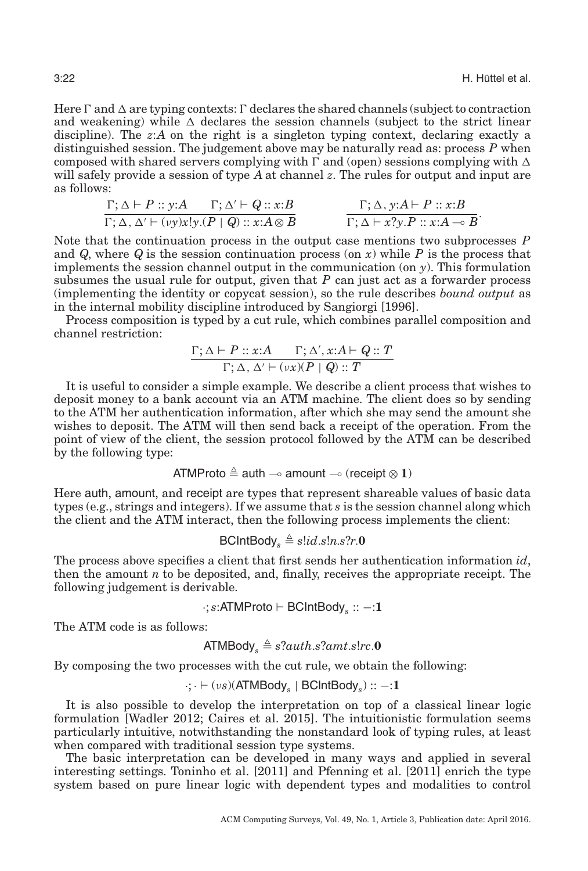Here  $\Gamma$  and  $\Delta$  are typing contexts:  $\Gamma$  declares the shared channels (subject to contraction and weakening) while  $\Delta$  declares the session channels (subject to the strict linear discipline). The *z*:*A* on the right is a singleton typing context, declaring exactly a distinguished session. The judgement above may be naturally read as: process *P* when composed with shared servers complying with  $\Gamma$  and (open) sessions complying with  $\Delta$ will safely provide a session of type *A* at channel *z*. The rules for output and input are as follows:

$$
\frac{\Gamma;\Delta\vdash P::y:A\qquad \Gamma;\Delta'\vdash Q::x:B}{\Gamma;\Delta,\Delta'\vdash (vy)x!y.(P\mid Q)::x:A\otimes B)}\qquad\qquad \frac{\Gamma;\Delta,y:A\vdash P::x:B}{\Gamma;\Delta\vdash x?y.P::x:A\multimap B}.
$$

Note that the continuation process in the output case mentions two subprocesses *P* and *Q*, where *Q* is the session continuation process (on *x*) while *P* is the process that implements the session channel output in the communication (on *y*). This formulation subsumes the usual rule for output, given that  $P$  can just act as a forwarder process (implementing the identity or copycat session), so the rule describes *bound output* as in the internal mobility discipline introduced by Sangiorgi [\[1996\]](#page-35-11).

Process composition is typed by a cut rule, which combines parallel composition and channel restriction:

$$
\frac{\Gamma;\Delta \vdash P :: x:A \qquad \Gamma;\Delta', x:A\vdash Q :: T}{\Gamma;\Delta,\, \Delta' \vdash (vx)(P\mid Q) :: T}
$$

It is useful to consider a simple example. We describe a client process that wishes to deposit money to a bank account via an ATM machine. The client does so by sending to the ATM her authentication information, after which she may send the amount she wishes to deposit. The ATM will then send back a receipt of the operation. From the point of view of the client, the session protocol followed by the ATM can be described by the following type:

ATMProto 
$$
\triangleq
$$
auth  $\multimap$  amount  $\multimap$  (receipt  $\otimes$  1)

Here auth, amount, and receipt are types that represent shareable values of basic data types (e.g., strings and integers). If we assume that *s* is the session channel along which the client and the ATM interact, then the following process implements the client:

$$
\mathsf{BClntBody}_s \triangleq s!id.s!n.s?r.\mathbf{0}
$$

The process above specifies a client that first sends her authentication information *id*, then the amount  $n$  to be deposited, and, finally, receives the appropriate receipt. The following judgement is derivable.

$$
\cdot; s{:}ATMProto \vdash BClntBody_s :: -: 1
$$

The ATM code is as follows:

ATMBody<sub>s</sub> 
$$
\triangleq
$$
 s?auth.s?amt.s!rc.0

By composing the two processes with the cut rule, we obtain the following:

$$
\cdot ; \cdot \vdash (\nu s)(\mathsf{ATMBody}_s \mid \mathsf{BClntBody}_s) :: -\mathbf{:1}
$$

It is also possible to develop the interpretation on top of a classical linear logic formulation [Wadler [2012;](#page-35-12) Caires et al. [2015\]](#page-30-25). The intuitionistic formulation seems particularly intuitive, notwithstanding the nonstandard look of typing rules, at least when compared with traditional session type systems.

The basic interpretation can be developed in many ways and applied in several interesting settings. Toninho et al. [\[2011\]](#page-35-13) and Pfenning et al. [\[2011\]](#page-34-24) enrich the type system based on pure linear logic with dependent types and modalities to control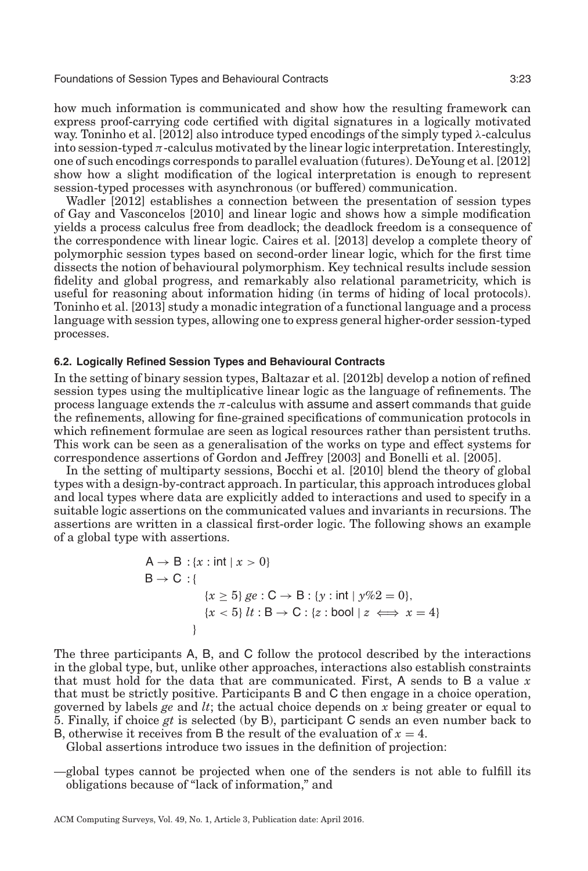how much information is communicated and show how the resulting framework can express proof-carrying code certified with digital signatures in a logically motivated way. Toninho et al. [\[2012\]](#page-35-14) also introduce typed encodings of the simply typed  $\lambda$ -calculus into session-typed  $\pi$ -calculus motivated by the linear logic interpretation. Interestingly, one of such encodings corresponds to parallel evaluation (futures). DeYoung et al. [\[2012\]](#page-31-18) show how a slight modification of the logical interpretation is enough to represent session-typed processes with asynchronous (or buffered) communication.

Wadler [\[2012\]](#page-35-12) establishes a connection between the presentation of session types of Gay and Vasconcelos [\[2010\]](#page-32-10) and linear logic and shows how a simple modification yields a process calculus free from deadlock; the deadlock freedom is a consequence of the correspondence with linear logic. Caires et al. [\[2013\]](#page-30-26) develop a complete theory of polymorphic session types based on second-order linear logic, which for the first time dissects the notion of behavioural polymorphism. Key technical results include session fidelity and global progress, and remarkably also relational parametricity, which is useful for reasoning about information hiding (in terms of hiding of local protocols). Toninho et al. [\[2013\]](#page-35-15) study a monadic integration of a functional language and a process language with session types, allowing one to express general higher-order session-typed processes.

## **6.2. Logically Refined Session Types and Behavioural Contracts**

In the setting of binary session types, Baltazar et al. [\[2012b\]](#page-29-13) develop a notion of refined session types using the multiplicative linear logic as the language of refinements. The process language extends the  $\pi$ -calculus with assume and assert commands that guide the refinements, allowing for fine-grained specifications of communication protocols in which refinement formulae are seen as logical resources rather than persistent truths. This work can be seen as a generalisation of the works on type and effect systems for correspondence assertions of Gordon and Jeffrey [\[2003\]](#page-32-18) and Bonelli et al. [\[2005\]](#page-29-14).

In the setting of multiparty sessions, Bocchi et al. [\[2010\]](#page-29-9) blend the theory of global types with a design-by-contract approach. In particular, this approach introduces global and local types where data are explicitly added to interactions and used to specify in a suitable logic assertions on the communicated values and invariants in recursions. The assertions are written in a classical first-order logic. The following shows an example of a global type with assertions.

<span id="page-22-0"></span>
$$
A \rightarrow B : \{x : \text{int} \mid x > 0\}
$$
\n
$$
B \rightarrow C : \{x \ge 5\} \, ge : C \rightarrow B : \{y : \text{int} \mid y\%2 = 0\},
$$
\n
$$
\{x < 5\} \, lt : B \rightarrow C : \{z : \text{bool} \mid z \iff x = 4\}
$$

The three participants A, B, and C follow the protocol described by the interactions in the global type, but, unlike other approaches, interactions also establish constraints that must hold for the data that are communicated. First, A sends to B a value *x* that must be strictly positive. Participants B and C then engage in a choice operation, governed by labels *ge* and *lt*; the actual choice depends on *x* being greater or equal to 5. Finally, if choice *gt* is selected (by B), participant C sends an even number back to B, otherwise it receives from B the result of the evaluation of  $x = 4$ .

Global assertions introduce two issues in the definition of projection:

—global types cannot be projected when one of the senders is not able to fulfill its obligations because of "lack of information," and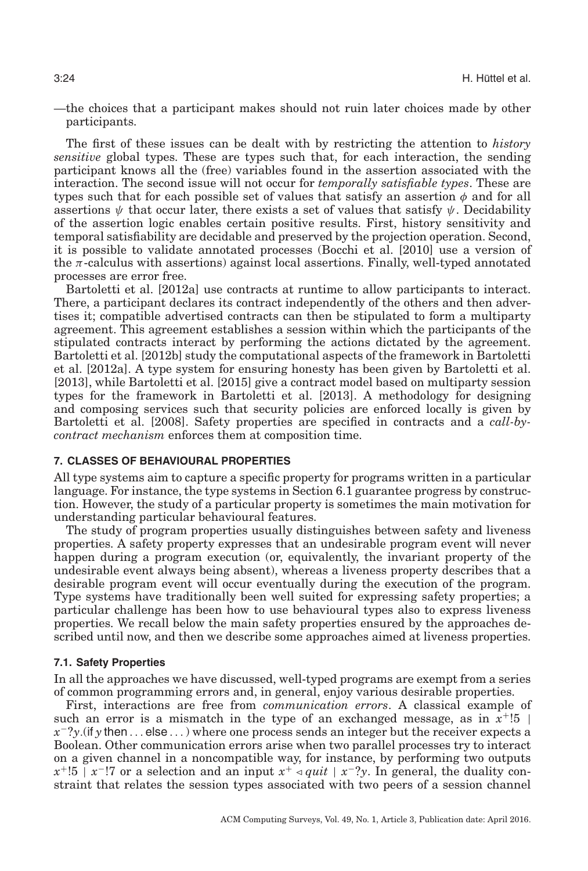—the choices that a participant makes should not ruin later choices made by other participants.

The first of these issues can be dealt with by restricting the attention to *history sensitive* global types. These are types such that, for each interaction, the sending participant knows all the (free) variables found in the assertion associated with the interaction. The second issue will not occur for *temporally satisfiable types*. These are types such that for each possible set of values that satisfy an assertion  $\phi$  and for all assertions  $\psi$  that occur later, there exists a set of values that satisfy  $\psi$ . Decidability of the assertion logic enables certain positive results. First, history sensitivity and temporal satisfiability are decidable and preserved by the projection operation. Second, it is possible to validate annotated processes (Bocchi et al. [\[2010\]](#page-29-9) use a version of the  $\pi$ -calculus with assertions) against local assertions. Finally, well-typed annotated processes are error free.

Bartoletti et al. [\[2012a\]](#page-29-15) use contracts at runtime to allow participants to interact. There, a participant declares its contract independently of the others and then advertises it; compatible advertised contracts can then be stipulated to form a multiparty agreement. This agreement establishes a session within which the participants of the stipulated contracts interact by performing the actions dictated by the agreement. Bartoletti et al. [\[2012b\]](#page-29-16) study the computational aspects of the framework in Bartoletti et al. [\[2012a\]](#page-29-15). A type system for ensuring honesty has been given by Bartoletti et al. [\[2013\]](#page-29-17), while Bartoletti et al. [\[2015\]](#page-29-18) give a contract model based on multiparty session types for the framework in Bartoletti et al. [\[2013\]](#page-29-17). A methodology for designing and composing services such that security policies are enforced locally is given by Bartoletti et al. [\[2008\]](#page-29-19). Safety properties are specified in contracts and a *call-bycontract mechanism* enforces them at composition time.

#### **7. CLASSES OF BEHAVIOURAL PROPERTIES**

<span id="page-23-0"></span>All type systems aim to capture a specific property for programs written in a particular language. For instance, the type systems in Section [6.1](#page-20-1) guarantee progress by construction. However, the study of a particular property is sometimes the main motivation for understanding particular behavioural features.

The study of program properties usually distinguishes between safety and liveness properties. A safety property expresses that an undesirable program event will never happen during a program execution (or, equivalently, the invariant property of the undesirable event always being absent), whereas a liveness property describes that a desirable program event will occur eventually during the execution of the program. Type systems have traditionally been well suited for expressing safety properties; a particular challenge has been how to use behavioural types also to express liveness properties. We recall below the main safety properties ensured by the approaches described until now, and then we describe some approaches aimed at liveness properties.

## **7.1. Safety Properties**

<span id="page-23-1"></span>In all the approaches we have discussed, well-typed programs are exempt from a series of common programming errors and, in general, enjoy various desirable properties.

First, interactions are free from *communication errors*. A classical example of such an error is a mismatch in the type of an exchanged message, as in  $x^{\text{+}}!5$ *x*<sup>−</sup>?*y*.(if *y* then ... else ...) where one process sends an integer but the receiver expects a Boolean. Other communication errors arise when two parallel processes try to interact on a given channel in a noncompatible way, for instance, by performing two outputs  $x^{+1}$ :5 | *x*<sup>−</sup>!7 or a selection and an input  $x^{+}$   $\triangleleft$  *quit* | *x*<sup>−</sup>?*y*. In general, the duality constraint that relates the session types associated with two peers of a session channel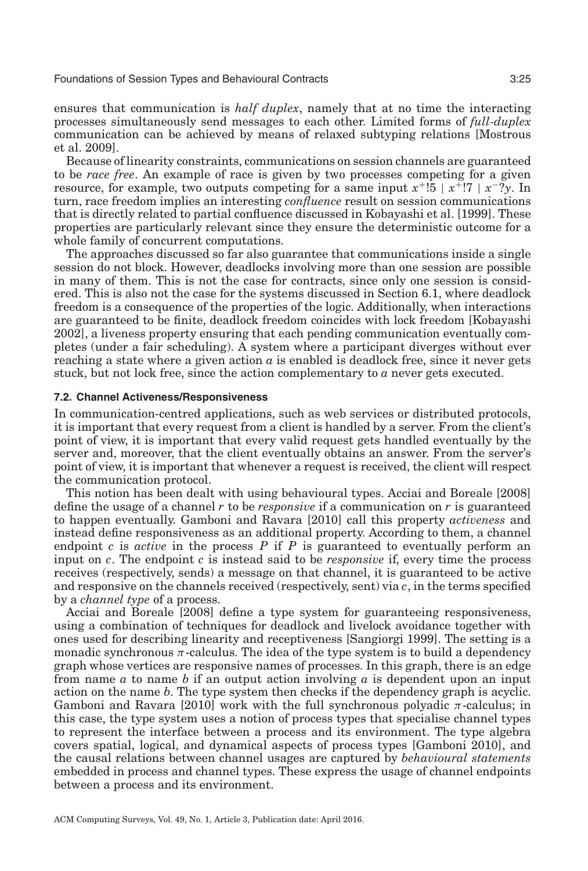ensures that communication is *half duplex*, namely that at no time the interacting processes simultaneously send messages to each other. Limited forms of *full-duplex* communication can be achieved by means of relaxed subtyping relations [Mostrous et al. [2009\]](#page-34-21).

Because of linearity constraints, communications on session channels are guaranteed to be *race free*. An example of race is given by two processes competing for a given resource, for example, two outputs competing for a same input  $x^{+1}$ :  $5 \mid x^{+1}$ :  $7 \mid x^{-2}y$ . In turn, race freedom implies an interesting *confluence* result on session communications that is directly related to partial confluence discussed in Kobayashi et al. [\[1999\]](#page-33-1). These properties are particularly relevant since they ensure the deterministic outcome for a whole family of concurrent computations.

The approaches discussed so far also guarantee that communications inside a single session do not block. However, deadlocks involving more than one session are possible in many of them. This is not the case for contracts, since only one session is considered. This is also not the case for the systems discussed in Section [6.1,](#page-20-1) where deadlock freedom is a consequence of the properties of the logic. Additionally, when interactions are guaranteed to be finite, deadlock freedom coincides with lock freedom [Kobayashi [2002\]](#page-33-19), a liveness property ensuring that each pending communication eventually completes (under a fair scheduling). A system where a participant diverges without ever reaching a state where a given action *a* is enabled is deadlock free, since it never gets stuck, but not lock free, since the action complementary to *a* never gets executed.

## **7.2. Channel Activeness/Responsiveness**

In communication-centred applications, such as web services or distributed protocols, it is important that every request from a client is handled by a server. From the client's point of view, it is important that every valid request gets handled eventually by the server and, moreover, that the client eventually obtains an answer. From the server's point of view, it is important that whenever a request is received, the client will respect the communication protocol.

This notion has been dealt with using behavioural types. Acciai and Boreale [\[2008\]](#page-29-20) define the usage of a channel *r* to be *responsive* if a communication on *r* is guaranteed to happen eventually. Gamboni and Ravara [\[2010\]](#page-32-19) call this property *activeness* and instead define responsiveness as an additional property. According to them, a channel endpoint *c* is *active* in the process *P* if *P* is guaranteed to eventually perform an input on *c*. The endpoint *c* is instead said to be *responsive* if, every time the process receives (respectively, sends) a message on that channel, it is guaranteed to be active and responsive on the channels received (respectively, sent) via *c*, in the terms specified by a *channel type* of a process.

Acciai and Boreale [\[2008\]](#page-29-20) define a type system for guaranteeing responsiveness, using a combination of techniques for deadlock and livelock avoidance together with ones used for describing linearity and receptiveness [Sangiorgi [1999\]](#page-35-16). The setting is a monadic synchronous  $\pi$ -calculus. The idea of the type system is to build a dependency graph whose vertices are responsive names of processes. In this graph, there is an edge from name *a* to name *b* if an output action involving *a* is dependent upon an input action on the name *b*. The type system then checks if the dependency graph is acyclic. Gamboni and Ravara [\[2010\]](#page-32-19) work with the full synchronous polyadic  $\pi$ -calculus; in this case, the type system uses a notion of process types that specialise channel types to represent the interface between a process and its environment. The type algebra covers spatial, logical, and dynamical aspects of process types [Gamboni [2010\]](#page-32-20), and the causal relations between channel usages are captured by *behavioural statements* embedded in process and channel types. These express the usage of channel endpoints between a process and its environment.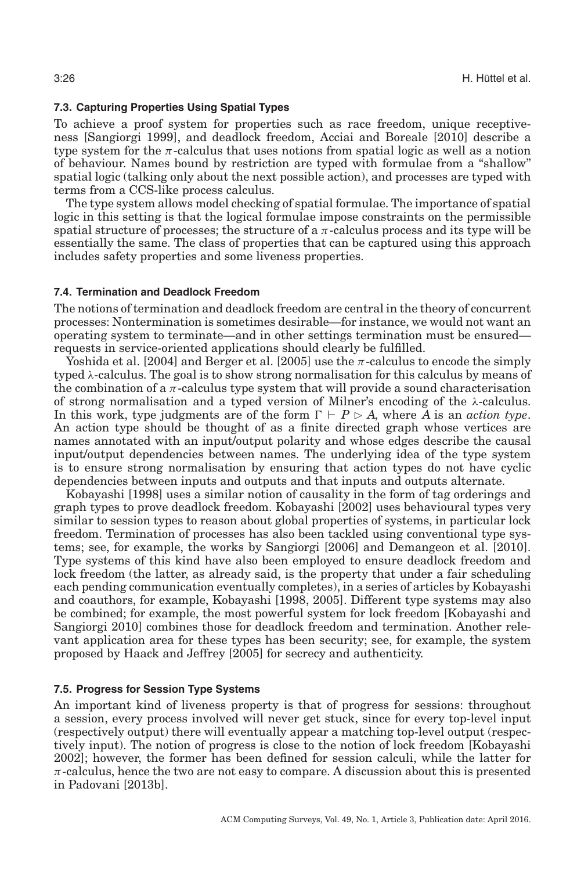## **7.3. Capturing Properties Using Spatial Types**

<span id="page-25-0"></span>To achieve a proof system for properties such as race freedom, unique receptiveness [Sangiorgi [1999\]](#page-35-16), and deadlock freedom, Acciai and Boreale [\[2010\]](#page-29-21) describe a type system for the  $\pi$ -calculus that uses notions from spatial logic as well as a notion of behaviour. Names bound by restriction are typed with formulae from a "shallow" spatial logic (talking only about the next possible action), and processes are typed with terms from a CCS-like process calculus.

The type system allows model checking of spatial formulae. The importance of spatial logic in this setting is that the logical formulae impose constraints on the permissible spatial structure of processes; the structure of a  $\pi$ -calculus process and its type will be essentially the same. The class of properties that can be captured using this approach includes safety properties and some liveness properties.

## **7.4. Termination and Deadlock Freedom**

The notions of termination and deadlock freedom are central in the theory of concurrent processes: Nontermination is sometimes desirable—for instance, we would not want an operating system to terminate—and in other settings termination must be ensured requests in service-oriented applications should clearly be fulfilled.

Yoshida et al. [\[2004\]](#page-35-17) and Berger et al. [\[2005\]](#page-29-22) use the  $\pi$ -calculus to encode the simply typed  $\lambda$ -calculus. The goal is to show strong normalisation for this calculus by means of the combination of a  $\pi$ -calculus type system that will provide a sound characterisation of strong normalisation and a typed version of Milner's encoding of the  $\lambda$ -calculus. In this work, type judgments are of the form  $\Gamma \vdash P \triangleright A$ , where *A* is an *action type*. An action type should be thought of as a finite directed graph whose vertices are names annotated with an input/output polarity and whose edges describe the causal input/output dependencies between names. The underlying idea of the type system is to ensure strong normalisation by ensuring that action types do not have cyclic dependencies between inputs and outputs and that inputs and outputs alternate.

Kobayashi [\[1998\]](#page-33-20) uses a similar notion of causality in the form of tag orderings and graph types to prove deadlock freedom. Kobayashi [\[2002\]](#page-33-19) uses behavioural types very similar to session types to reason about global properties of systems, in particular lock freedom. Termination of processes has also been tackled using conventional type systems; see, for example, the works by Sangiorgi [\[2006\]](#page-35-18) and Demangeon et al. [\[2010\]](#page-31-19). Type systems of this kind have also been employed to ensure deadlock freedom and lock freedom (the latter, as already said, is the property that under a fair scheduling each pending communication eventually completes), in a series of articles by Kobayashi and coauthors, for example, Kobayashi [\[1998,](#page-33-20) [2005\]](#page-33-21). Different type systems may also be combined; for example, the most powerful system for lock freedom [Kobayashi and Sangiorgi [2010\]](#page-33-22) combines those for deadlock freedom and termination. Another relevant application area for these types has been security; see, for example, the system proposed by Haack and Jeffrey [\[2005\]](#page-32-21) for secrecy and authenticity.

## **7.5. Progress for Session Type Systems**

An important kind of liveness property is that of progress for sessions: throughout a session, every process involved will never get stuck, since for every top-level input (respectively output) there will eventually appear a matching top-level output (respectively input). The notion of progress is close to the notion of lock freedom [Kobayashi [2002\]](#page-33-19); however, the former has been defined for session calculi, while the latter for  $\pi$ -calculus, hence the two are not easy to compare. A discussion about this is presented in Padovani [\[2013b\]](#page-34-25).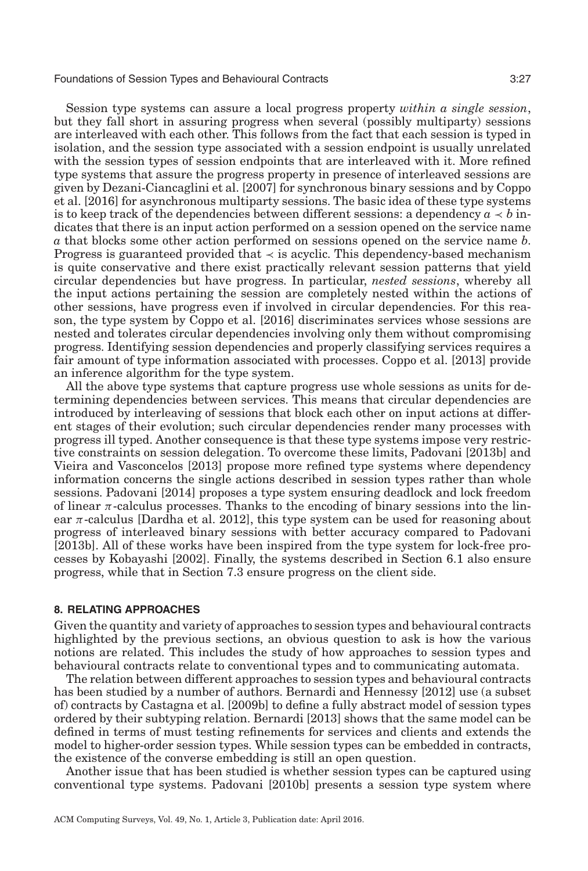Session type systems can assure a local progress property *within a single session*, but they fall short in assuring progress when several (possibly multiparty) sessions are interleaved with each other. This follows from the fact that each session is typed in isolation, and the session type associated with a session endpoint is usually unrelated with the session types of session endpoints that are interleaved with it. More refined type systems that assure the progress property in presence of interleaved sessions are given by Dezani-Ciancaglini et al. [\[2007\]](#page-31-20) for synchronous binary sessions and by Coppo et al. [\[2016\]](#page-31-14) for asynchronous multiparty sessions. The basic idea of these type systems is to keep track of the dependencies between different sessions: a dependency  $a \lt b$  indicates that there is an input action performed on a session opened on the service name *a* that blocks some other action performed on sessions opened on the service name *b*. Progress is guaranteed provided that  $\prec$  is acyclic. This dependency-based mechanism is quite conservative and there exist practically relevant session patterns that yield circular dependencies but have progress. In particular, *nested sessions*, whereby all the input actions pertaining the session are completely nested within the actions of other sessions, have progress even if involved in circular dependencies. For this reason, the type system by Coppo et al. [\[2016\]](#page-31-14) discriminates services whose sessions are nested and tolerates circular dependencies involving only them without compromising progress. Identifying session dependencies and properly classifying services requires a fair amount of type information associated with processes. Coppo et al. [\[2013\]](#page-31-21) provide an inference algorithm for the type system.

All the above type systems that capture progress use whole sessions as units for determining dependencies between services. This means that circular dependencies are introduced by interleaving of sessions that block each other on input actions at different stages of their evolution; such circular dependencies render many processes with progress ill typed. Another consequence is that these type systems impose very restrictive constraints on session delegation. To overcome these limits, Padovani [\[2013b\]](#page-34-25) and Vieira and Vasconcelos [\[2013\]](#page-35-19) propose more refined type systems where dependency information concerns the single actions described in session types rather than whole sessions. Padovani [\[2014\]](#page-34-26) proposes a type system ensuring deadlock and lock freedom of linear  $\pi$ -calculus processes. Thanks to the encoding of binary sessions into the linear  $\pi$ -calculus [Dardha et al. [2012\]](#page-31-22), this type system can be used for reasoning about progress of interleaved binary sessions with better accuracy compared to Padovani [\[2013b\]](#page-34-25). All of these works have been inspired from the type system for lock-free processes by Kobayashi [\[2002\]](#page-33-19). Finally, the systems described in Section [6.1](#page-20-1) also ensure progress, while that in Section [7.3](#page-25-0) ensure progress on the client side.

#### **8. RELATING APPROACHES**

<span id="page-26-0"></span>Given the quantity and variety of approaches to session types and behavioural contracts highlighted by the previous sections, an obvious question to ask is how the various notions are related. This includes the study of how approaches to session types and behavioural contracts relate to conventional types and to communicating automata.

The relation between different approaches to session types and behavioural contracts has been studied by a number of authors. Bernardi and Hennessy [\[2012\]](#page-29-23) use (a subset of) contracts by Castagna et al. [\[2009b\]](#page-30-7) to define a fully abstract model of session types ordered by their subtyping relation. Bernardi [\[2013\]](#page-29-11) shows that the same model can be defined in terms of must testing refinements for services and clients and extends the model to higher-order session types. While session types can be embedded in contracts, the existence of the converse embedding is still an open question.

Another issue that has been studied is whether session types can be captured using conventional type systems. Padovani [\[2010b\]](#page-34-5) presents a session type system where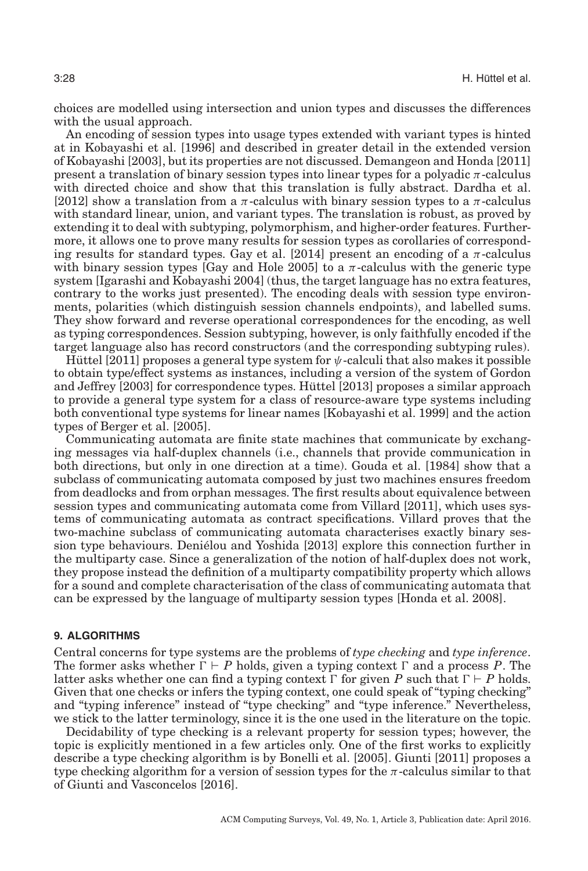choices are modelled using intersection and union types and discusses the differences with the usual approach.

An encoding of session types into usage types extended with variant types is hinted at in Kobayashi et al. [\[1996\]](#page-33-23) and described in greater detail in the extended version of Kobayashi [\[2003\]](#page-33-0), but its properties are not discussed. Demangeon and Honda [\[2011\]](#page-31-23) present a translation of binary session types into linear types for a polyadic  $\pi$ -calculus with directed choice and show that this translation is fully abstract. Dardha et al. [\[2012\]](#page-31-22) show a translation from a  $\pi$ -calculus with binary session types to a  $\pi$ -calculus with standard linear, union, and variant types. The translation is robust, as proved by extending it to deal with subtyping, polymorphism, and higher-order features. Furthermore, it allows one to prove many results for session types as corollaries of correspond-ing results for standard types. Gay et al. [\[2014\]](#page-32-22) present an encoding of a  $\pi$ -calculus with binary session types [Gay and Hole [2005\]](#page-32-7) to a  $\pi$ -calculus with the generic type system [Igarashi and Kobayashi [2004\]](#page-32-5) (thus, the target language has no extra features, contrary to the works just presented). The encoding deals with session type environments, polarities (which distinguish session channels endpoints), and labelled sums. They show forward and reverse operational correspondences for the encoding, as well as typing correspondences. Session subtyping, however, is only faithfully encoded if the target language also has record constructors (and the corresponding subtyping rules).

Hüttel [\[2011\]](#page-32-23) proposes a general type system for  $\psi$ -calculi that also makes it possible to obtain type/effect systems as instances, including a version of the system of Gordon and Jeffrey [\[2003\]](#page-32-18) for correspondence types. Huttel [\[2013\]](#page-32-24) proposes a similar approach to provide a general type system for a class of resource-aware type systems including both conventional type systems for linear names [Kobayashi et al. [1999\]](#page-33-1) and the action types of Berger et al. [\[2005\]](#page-29-22).

Communicating automata are finite state machines that communicate by exchanging messages via half-duplex channels (i.e., channels that provide communication in both directions, but only in one direction at a time). Gouda et al. [\[1984\]](#page-32-25) show that a subclass of communicating automata composed by just two machines ensures freedom from deadlocks and from orphan messages. The first results about equivalence between session types and communicating automata come from Villard [\[2011\]](#page-35-20), which uses systems of communicating automata as contract specifications. Villard proves that the two-machine subclass of communicating automata characterises exactly binary session type behaviours. Denielou and Yoshida [\[2013\]](#page-31-24) explore this connection further in ´ the multiparty case. Since a generalization of the notion of half-duplex does not work, they propose instead the definition of a multiparty compatibility property which allows for a sound and complete characterisation of the class of communicating automata that can be expressed by the language of multiparty session types [Honda et al. [2008\]](#page-32-11).

#### **9. ALGORITHMS**

<span id="page-27-0"></span>Central concerns for type systems are the problems of *type checking* and *type inference*. The former asks whether  $\Gamma \vdash P$  holds, given a typing context  $\Gamma$  and a process P. The latter asks whether one can find a typing context  $\Gamma$  for given P such that  $\Gamma \vdash P$  holds. Given that one checks or infers the typing context, one could speak of "typing checking" and "typing inference" instead of "type checking" and "type inference." Nevertheless, we stick to the latter terminology, since it is the one used in the literature on the topic.

Decidability of type checking is a relevant property for session types; however, the topic is explicitly mentioned in a few articles only. One of the first works to explicitly describe a type checking algorithm is by Bonelli et al. [\[2005\]](#page-29-14). Giunti [\[2011\]](#page-32-26) proposes a type checking algorithm for a version of session types for the  $\pi$ -calculus similar to that of Giunti and Vasconcelos [\[2016\]](#page-32-9).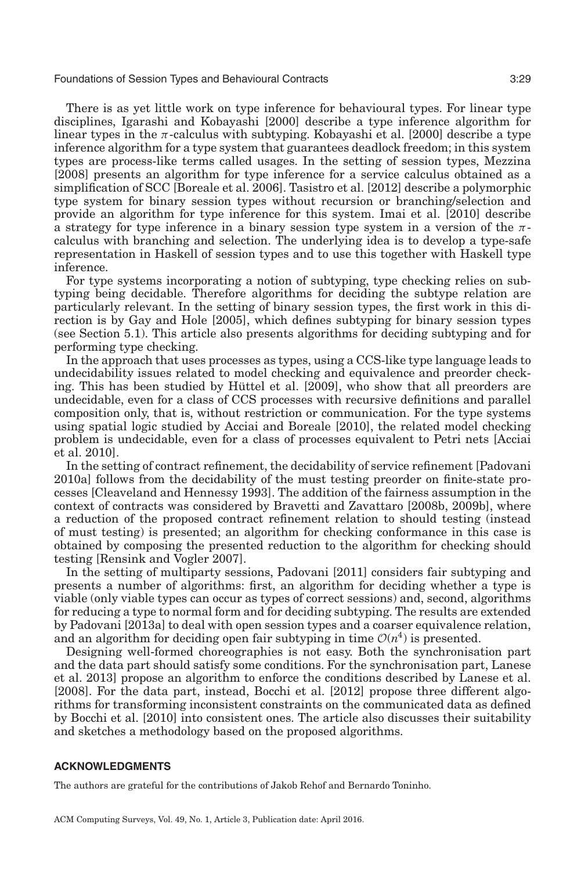There is as yet little work on type inference for behavioural types. For linear type disciplines, Igarashi and Kobayashi [\[2000\]](#page-32-27) describe a type inference algorithm for linear types in the  $\pi$ -calculus with subtyping. Kobayashi et al. [\[2000\]](#page-33-5) describe a type inference algorithm for a type system that guarantees deadlock freedom; in this system types are process-like terms called usages. In the setting of session types, Mezzina [\[2008\]](#page-33-24) presents an algorithm for type inference for a service calculus obtained as a simplification of SCC [Boreale et al. [2006\]](#page-29-6). Tasistro et al. [\[2012\]](#page-35-21) describe a polymorphic type system for binary session types without recursion or branching/selection and provide an algorithm for type inference for this system. Imai et al. [\[2010\]](#page-32-28) describe a strategy for type inference in a binary session type system in a version of the  $\pi$ calculus with branching and selection. The underlying idea is to develop a type-safe representation in Haskell of session types and to use this together with Haskell type inference.

For type systems incorporating a notion of subtyping, type checking relies on subtyping being decidable. Therefore algorithms for deciding the subtype relation are particularly relevant. In the setting of binary session types, the first work in this direction is by Gay and Hole [\[2005\]](#page-32-7), which defines subtyping for binary session types (see Section [5.1\)](#page-18-1). This article also presents algorithms for deciding subtyping and for performing type checking.

In the approach that uses processes as types, using a CCS-like type language leads to undecidability issues related to model checking and equivalence and preorder check-ing. This has been studied by Hüttel et al. [\[2009\]](#page-32-29), who show that all preorders are undecidable, even for a class of CCS processes with recursive definitions and parallel composition only, that is, without restriction or communication. For the type systems using spatial logic studied by Acciai and Boreale [\[2010\]](#page-29-21), the related model checking problem is undecidable, even for a class of processes equivalent to Petri nets [Acciai et al. [2010\]](#page-29-24).

In the setting of contract refinement, the decidability of service refinement [Padovani [2010a\]](#page-34-22) follows from the decidability of the must testing preorder on finite-state processes [Cleaveland and Hennessy [1993\]](#page-31-25). The addition of the fairness assumption in the context of contracts was considered by Bravetti and Zavattaro [\[2008b,](#page-30-15) [2009b\]](#page-30-16), where a reduction of the proposed contract refinement relation to should testing (instead of must testing) is presented; an algorithm for checking conformance in this case is obtained by composing the presented reduction to the algorithm for checking should testing [Rensink and Vogler [2007\]](#page-34-23).

In the setting of multiparty sessions, Padovani [\[2011\]](#page-34-19) considers fair subtyping and presents a number of algorithms: first, an algorithm for deciding whether a type is viable (only viable types can occur as types of correct sessions) and, second, algorithms for reducing a type to normal form and for deciding subtyping. The results are extended by Padovani [\[2013a\]](#page-34-27) to deal with open session types and a coarser equivalence relation, and an algorithm for deciding open fair subtyping in time  $\mathcal{O}(n^4)$  is presented.

Designing well-formed choreographies is not easy. Both the synchronisation part and the data part should satisfy some conditions. For the synchronisation part, Lanese et al. [2013\]](#page-33-25) propose an algorithm to enforce the conditions described by Lanese et al. [\[2008\]](#page-33-15). For the data part, instead, Bocchi et al. [\[2012\]](#page-29-25) propose three different algorithms for transforming inconsistent constraints on the communicated data as defined by Bocchi et al. [\[2010\]](#page-29-9) into consistent ones. The article also discusses their suitability and sketches a methodology based on the proposed algorithms.

#### **ACKNOWLEDGMENTS**

The authors are grateful for the contributions of Jakob Rehof and Bernardo Toninho.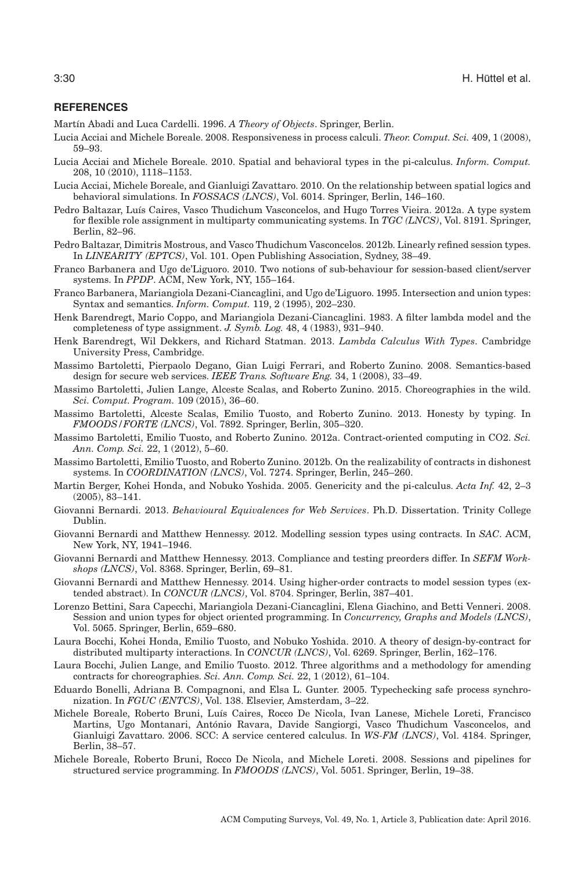## **REFERENCES**

<span id="page-29-4"></span>Martín Abadi and Luca Cardelli. 1996. *A Theory of Objects*. Springer, Berlin.

- <span id="page-29-20"></span>Lucia Acciai and Michele Boreale. 2008. Responsiveness in process calculi. *Theor. Comput. Sci.* 409, 1 (2008), 59–93.
- <span id="page-29-21"></span>Lucia Acciai and Michele Boreale. 2010. Spatial and behavioral types in the pi-calculus. *Inform. Comput.* 208, 10 (2010), 1118–1153.
- <span id="page-29-24"></span>Lucia Acciai, Michele Boreale, and Gianluigi Zavattaro. 2010. On the relationship between spatial logics and behavioral simulations. In *FOSSACS (LNCS)*, Vol. 6014. Springer, Berlin, 146–160.
- <span id="page-29-8"></span>Pedro Baltazar, Luís Caires, Vasco Thudichum Vasconcelos, and Hugo Torres Vieira. 2012a. A type system for flexible role assignment in multiparty communicating systems. In *TGC (LNCS)*, Vol. 8191. Springer, Berlin, 82–96.
- <span id="page-29-13"></span>Pedro Baltazar, Dimitris Mostrous, and Vasco Thudichum Vasconcelos. 2012b. Linearly refined session types. In *LINEARITY (EPTCS)*, Vol. 101. Open Publishing Association, Sydney, 38–49.
- <span id="page-29-10"></span>Franco Barbanera and Ugo de'Liguoro. 2010. Two notions of sub-behaviour for session-based client/server systems. In *PPDP*. ACM, New York, NY, 155–164.
- <span id="page-29-2"></span>Franco Barbanera, Mariangiola Dezani-Ciancaglini, and Ugo de'Liguoro. 1995. Intersection and union types: Syntax and semantics. *Inform. Comput.* 119, 2 (1995), 202–230.
- <span id="page-29-0"></span>Henk Barendregt, Mario Coppo, and Mariangiola Dezani-Ciancaglini. 1983. A filter lambda model and the completeness of type assignment. *J. Symb. Log.* 48, 4 (1983), 931–940.
- <span id="page-29-1"></span>Henk Barendregt, Wil Dekkers, and Richard Statman. 2013. *Lambda Calculus With Types*. Cambridge University Press, Cambridge.
- <span id="page-29-19"></span>Massimo Bartoletti, Pierpaolo Degano, Gian Luigi Ferrari, and Roberto Zunino. 2008. Semantics-based design for secure web services. *IEEE Trans. Software Eng.* 34, 1 (2008), 33–49.
- <span id="page-29-18"></span>Massimo Bartoletti, Julien Lange, Alceste Scalas, and Roberto Zunino. 2015. Choreographies in the wild. *Sci. Comput. Program.* 109 (2015), 36–60.
- <span id="page-29-17"></span>Massimo Bartoletti, Alceste Scalas, Emilio Tuosto, and Roberto Zunino. 2013. Honesty by typing. In *FMOODS/FORTE (LNCS)*, Vol. 7892. Springer, Berlin, 305–320.
- <span id="page-29-15"></span>Massimo Bartoletti, Emilio Tuosto, and Roberto Zunino. 2012a. Contract-oriented computing in CO2. *Sci. Ann. Comp. Sci.* 22, 1 (2012), 5–60.
- <span id="page-29-16"></span>Massimo Bartoletti, Emilio Tuosto, and Roberto Zunino. 2012b. On the realizability of contracts in dishonest systems. In *COORDINATION (LNCS)*, Vol. 7274. Springer, Berlin, 245–260.
- <span id="page-29-22"></span>Martin Berger, Kohei Honda, and Nobuko Yoshida. 2005. Genericity and the pi-calculus. *Acta Inf.* 42, 2–3 (2005), 83–141.
- <span id="page-29-11"></span>Giovanni Bernardi. 2013. *Behavioural Equivalences for Web Services*. Ph.D. Dissertation. Trinity College Dublin.
- <span id="page-29-23"></span>Giovanni Bernardi and Matthew Hennessy. 2012. Modelling session types using contracts. In *SAC*. ACM, New York, NY, 1941–1946.
- <span id="page-29-12"></span>Giovanni Bernardi and Matthew Hennessy. 2013. Compliance and testing preorders differ. In *SEFM Workshops (LNCS)*, Vol. 8368. Springer, Berlin, 69–81.
- <span id="page-29-5"></span>Giovanni Bernardi and Matthew Hennessy. 2014. Using higher-order contracts to model session types (extended abstract). In *CONCUR (LNCS)*, Vol. 8704. Springer, Berlin, 387–401.
- <span id="page-29-3"></span>Lorenzo Bettini, Sara Capecchi, Mariangiola Dezani-Ciancaglini, Elena Giachino, and Betti Venneri. 2008. Session and union types for object oriented programming. In *Concurrency, Graphs and Models (LNCS)*, Vol. 5065. Springer, Berlin, 659–680.
- <span id="page-29-9"></span>Laura Bocchi, Kohei Honda, Emilio Tuosto, and Nobuko Yoshida. 2010. A theory of design-by-contract for distributed multiparty interactions. In *CONCUR (LNCS)*, Vol. 6269. Springer, Berlin, 162–176.
- <span id="page-29-25"></span>Laura Bocchi, Julien Lange, and Emilio Tuosto. 2012. Three algorithms and a methodology for amending contracts for choreographies. *Sci. Ann. Comp. Sci.* 22, 1 (2012), 61–104.
- <span id="page-29-14"></span>Eduardo Bonelli, Adriana B. Compagnoni, and Elsa L. Gunter. 2005. Typechecking safe process synchronization. In *FGUC (ENTCS)*, Vol. 138. Elsevier, Amsterdam, 3–22.
- <span id="page-29-6"></span>Michele Boreale, Roberto Bruni, Luís Caires, Rocco De Nicola, Ivan Lanese, Michele Loreti, Francisco Martins, Ugo Montanari, Antonio Ravara, Davide Sangiorgi, Vasco Thudichum Vasconcelos, and ´ Gianluigi Zavattaro. 2006. SCC: A service centered calculus. In *WS-FM (LNCS)*, Vol. 4184. Springer, Berlin, 38–57.
- <span id="page-29-7"></span>Michele Boreale, Roberto Bruni, Rocco De Nicola, and Michele Loreti. 2008. Sessions and pipelines for structured service programming. In *FMOODS (LNCS)*, Vol. 5051. Springer, Berlin, 19–38.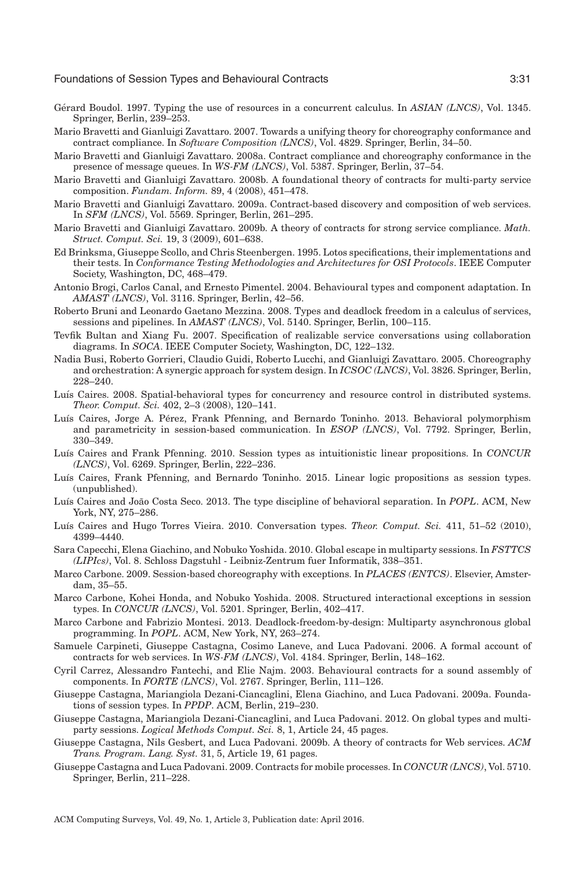- <span id="page-30-3"></span>Gérard Boudol. 1997. Typing the use of resources in a concurrent calculus. In *ASIAN (LNCS)*, Vol. 1345. Springer, Berlin, 239–253.
- <span id="page-30-13"></span>Mario Bravetti and Gianluigi Zavattaro. 2007. Towards a unifying theory for choreography conformance and contract compliance. In *Software Composition (LNCS)*, Vol. 4829. Springer, Berlin, 34–50.
- <span id="page-30-17"></span>Mario Bravetti and Gianluigi Zavattaro. 2008a. Contract compliance and choreography conformance in the presence of message queues. In *WS-FM (LNCS)*, Vol. 5387. Springer, Berlin, 37–54.
- <span id="page-30-15"></span>Mario Bravetti and Gianluigi Zavattaro. 2008b. A foundational theory of contracts for multi-party service composition. *Fundam. Inform.* 89, 4 (2008), 451–478.
- <span id="page-30-18"></span>Mario Bravetti and Gianluigi Zavattaro. 2009a. Contract-based discovery and composition of web services. In *SFM (LNCS)*, Vol. 5569. Springer, Berlin, 261–295.
- <span id="page-30-16"></span>Mario Bravetti and Gianluigi Zavattaro. 2009b. A theory of contracts for strong service compliance. *Math. Struct. Comput. Sci.* 19, 3 (2009), 601–638.
- <span id="page-30-0"></span>Ed Brinksma, Giuseppe Scollo, and Chris Steenbergen. 1995. Lotos specifications, their implementations and their tests. In *Conformance Testing Methodologies and Architectures for OSI Protocols*. IEEE Computer Society, Washington, DC, 468–479.
- <span id="page-30-5"></span>Antonio Brogi, Carlos Canal, and Ernesto Pimentel. 2004. Behavioural types and component adaptation. In *AMAST (LNCS)*, Vol. 3116. Springer, Berlin, 42–56.
- <span id="page-30-10"></span>Roberto Bruni and Leonardo Gaetano Mezzina. 2008. Types and deadlock freedom in a calculus of services, sessions and pipelines. In *AMAST (LNCS)*, Vol. 5140. Springer, Berlin, 100–115.
- <span id="page-30-20"></span>Tevfik Bultan and Xiang Fu. 2007. Specification of realizable service conversations using collaboration diagrams. In *SOCA*. IEEE Computer Society, Washington, DC, 122–132.
- <span id="page-30-14"></span>Nadia Busi, Roberto Gorrieri, Claudio Guidi, Roberto Lucchi, and Gianluigi Zavattaro. 2005. Choreography and orchestration: A synergic approach for system design. In *ICSOC (LNCS)*, Vol. 3826. Springer, Berlin, 228–240.
- <span id="page-30-2"></span>Luís Caires. 2008. Spatial-behavioral types for concurrency and resource control in distributed systems. *Theor. Comput. Sci.* 402, 2–3 (2008), 120–141.
- <span id="page-30-26"></span>Luís Caires, Jorge A. Pérez, Frank Pfenning, and Bernardo Toninho. 2013. Behavioral polymorphism and parametricity in session-based communication. In *ESOP (LNCS)*, Vol. 7792. Springer, Berlin, 330–349.
- <span id="page-30-24"></span>Lu´ıs Caires and Frank Pfenning. 2010. Session types as intuitionistic linear propositions. In *CONCUR (LNCS)*, Vol. 6269. Springer, Berlin, 222–236.
- <span id="page-30-25"></span>Luís Caires, Frank Pfenning, and Bernardo Toninho. 2015. Linear logic propositions as session types. (unpublished).
- <span id="page-30-1"></span>Luís Caires and João Costa Seco. 2013. The type discipline of behavioral separation. In POPL. ACM, New York, NY, 275–286.
- <span id="page-30-12"></span>Luís Caires and Hugo Torres Vieira. 2010. Conversation types. *Theor. Comput. Sci.* 411, 51–52 (2010), 4399–4440.
- <span id="page-30-22"></span>Sara Capecchi, Elena Giachino, and Nobuko Yoshida. 2010. Global escape in multiparty sessions. In *FSTTCS (LIPIcs)*, Vol. 8. Schloss Dagstuhl - Leibniz-Zentrum fuer Informatik, 338–351.
- <span id="page-30-21"></span>Marco Carbone. 2009. Session-based choreography with exceptions. In *PLACES (ENTCS)*. Elsevier, Amsterdam, 35–55.
- <span id="page-30-9"></span>Marco Carbone, Kohei Honda, and Nobuko Yoshida. 2008. Structured interactional exceptions in session types. In *CONCUR (LNCS)*, Vol. 5201. Springer, Berlin, 402–417.
- <span id="page-30-11"></span>Marco Carbone and Fabrizio Montesi. 2013. Deadlock-freedom-by-design: Multiparty asynchronous global programming. In *POPL*. ACM, New York, NY, 263–274.
- <span id="page-30-6"></span>Samuele Carpineti, Giuseppe Castagna, Cosimo Laneve, and Luca Padovani. 2006. A formal account of contracts for web services. In *WS-FM (LNCS)*, Vol. 4184. Springer, Berlin, 148–162.
- <span id="page-30-4"></span>Cyril Carrez, Alessandro Fantechi, and Elie Najm. 2003. Behavioural contracts for a sound assembly of components. In *FORTE (LNCS)*, Vol. 2767. Springer, Berlin, 111–126.
- <span id="page-30-23"></span>Giuseppe Castagna, Mariangiola Dezani-Ciancaglini, Elena Giachino, and Luca Padovani. 2009a. Foundations of session types. In *PPDP*. ACM, Berlin, 219–230.
- <span id="page-30-19"></span>Giuseppe Castagna, Mariangiola Dezani-Ciancaglini, and Luca Padovani. 2012. On global types and multiparty sessions. *Logical Methods Comput. Sci.* 8, 1, Article 24, 45 pages.
- <span id="page-30-7"></span>Giuseppe Castagna, Nils Gesbert, and Luca Padovani. 2009b. A theory of contracts for Web services. *ACM Trans. Program. Lang. Syst.* 31, 5, Article 19, 61 pages.
- <span id="page-30-8"></span>Giuseppe Castagna and Luca Padovani. 2009. Contracts for mobile processes. In *CONCUR (LNCS)*, Vol. 5710. Springer, Berlin, 211–228.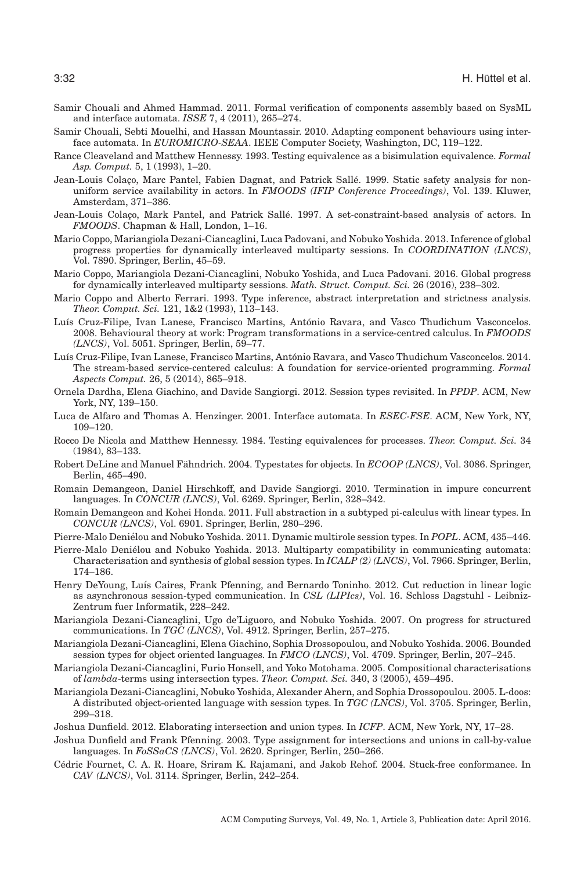- <span id="page-31-9"></span>Samir Chouali and Ahmed Hammad. 2011. Formal verification of components assembly based on SysML and interface automata. *ISSE* 7, 4 (2011), 265–274.
- <span id="page-31-8"></span>Samir Chouali, Sebti Mouelhi, and Hassan Mountassir. 2010. Adapting component behaviours using interface automata. In *EUROMICRO-SEAA*. IEEE Computer Society, Washington, DC, 119–122.
- <span id="page-31-25"></span>Rance Cleaveland and Matthew Hennessy. 1993. Testing equivalence as a bisimulation equivalence. *Formal Asp. Comput.* 5, 1 (1993), 1–20.
- <span id="page-31-6"></span>Jean-Louis Colaco, Marc Pantel, Fabien Dagnat, and Patrick Sallé. 1999. Static safety analysis for nonuniform service availability in actors. In *FMOODS (IFIP Conference Proceedings)*, Vol. 139. Kluwer, Amsterdam, 371–386.
- <span id="page-31-5"></span>Jean-Louis Colaço, Mark Pantel, and Patrick Sallé. 1997. A set-constraint-based analysis of actors. In *FMOODS*. Chapman & Hall, London, 1–16.
- <span id="page-31-21"></span>Mario Coppo, Mariangiola Dezani-Ciancaglini, Luca Padovani, and Nobuko Yoshida. 2013. Inference of global progress properties for dynamically interleaved multiparty sessions. In *COORDINATION (LNCS)*, Vol. 7890. Springer, Berlin, 45–59.
- <span id="page-31-14"></span>Mario Coppo, Mariangiola Dezani-Ciancaglini, Nobuko Yoshida, and Luca Padovani. 2016. Global progress for dynamically interleaved multiparty sessions. *Math. Struct. Comput. Sci.* 26 (2016), 238–302.
- <span id="page-31-1"></span>Mario Coppo and Alberto Ferrari. 1993. Type inference, abstract interpretation and strictness analysis. *Theor. Comput. Sci.* 121, 1&2 (1993), 113–143.
- <span id="page-31-13"></span>Luís Cruz-Filipe, Ivan Lanese, Francisco Martins, António Ravara, and Vasco Thudichum Vasconcelos. 2008. Behavioural theory at work: Program transformations in a service-centred calculus. In *FMOODS (LNCS)*, Vol. 5051. Springer, Berlin, 59–77.
- <span id="page-31-12"></span>Luís Cruz-Filipe, Ivan Lanese, Francisco Martins, António Ravara, and Vasco Thudichum Vasconcelos. 2014. The stream-based service-centered calculus: A foundation for service-oriented programming. *Formal Aspects Comput.* 26, 5 (2014), 865–918.
- <span id="page-31-22"></span>Ornela Dardha, Elena Giachino, and Davide Sangiorgi. 2012. Session types revisited. In *PPDP*. ACM, New York, NY, 139–150.
- <span id="page-31-7"></span>Luca de Alfaro and Thomas A. Henzinger. 2001. Interface automata. In *ESEC-FSE*. ACM, New York, NY, 109–120.
- <span id="page-31-17"></span>Rocco De Nicola and Matthew Hennessy. 1984. Testing equivalences for processes. *Theor. Comput. Sci.* 34 (1984), 83–133.
- <span id="page-31-4"></span>Robert DeLine and Manuel Fähndrich. 2004. Typestates for objects. In *ECOOP (LNCS)*, Vol. 3086. Springer, Berlin, 465–490.
- <span id="page-31-19"></span>Romain Demangeon, Daniel Hirschkoff, and Davide Sangiorgi. 2010. Termination in impure concurrent languages. In *CONCUR (LNCS)*, Vol. 6269. Springer, Berlin, 328–342.
- <span id="page-31-23"></span>Romain Demangeon and Kohei Honda. 2011. Full abstraction in a subtyped pi-calculus with linear types. In *CONCUR (LNCS)*, Vol. 6901. Springer, Berlin, 280–296.
- <span id="page-31-15"></span>Pierre-Malo Deniélou and Nobuko Yoshida. 2011. Dynamic multirole session types. In *POPL*. ACM, 435–446.
- <span id="page-31-24"></span>Pierre-Malo Denielou and Nobuko Yoshida. 2013. Multiparty compatibility in communicating automata: ´ Characterisation and synthesis of global session types. In *ICALP (2) (LNCS)*, Vol. 7966. Springer, Berlin, 174–186.
- <span id="page-31-18"></span>Henry DeYoung, Luís Caires, Frank Pfenning, and Bernardo Toninho. 2012. Cut reduction in linear logic as asynchronous session-typed communication. In *CSL (LIPIcs)*, Vol. 16. Schloss Dagstuhl - Leibniz-Zentrum fuer Informatik, 228–242.
- <span id="page-31-20"></span>Mariangiola Dezani-Ciancaglini, Ugo de'Liguoro, and Nobuko Yoshida. 2007. On progress for structured communications. In *TGC (LNCS)*, Vol. 4912. Springer, Berlin, 257–275.
- <span id="page-31-16"></span>Mariangiola Dezani-Ciancaglini, Elena Giachino, Sophia Drossopoulou, and Nobuko Yoshida. 2006. Bounded session types for object oriented languages. In *FMCO (LNCS)*, Vol. 4709. Springer, Berlin, 207–245.
- <span id="page-31-0"></span>Mariangiola Dezani-Ciancaglini, Furio Honsell, and Yoko Motohama. 2005. Compositional characterisations of *lambda*-terms using intersection types. *Theor. Comput. Sci.* 340, 3 (2005), 459–495.
- <span id="page-31-10"></span>Mariangiola Dezani-Ciancaglini, Nobuko Yoshida, Alexander Ahern, and Sophia Drossopoulou. 2005. L-doos: A distributed object-oriented language with session types. In *TGC (LNCS)*, Vol. 3705. Springer, Berlin, 299–318.
- <span id="page-31-3"></span>Joshua Dunfield. 2012. Elaborating intersection and union types. In *ICFP*. ACM, New York, NY, 17–28.
- <span id="page-31-2"></span>Joshua Dunfield and Frank Pfenning. 2003. Type assignment for intersections and unions in call-by-value languages. In *FoSSaCS (LNCS)*, Vol. 2620. Springer, Berlin, 250–266.
- <span id="page-31-11"></span>Cedric Fournet, C. A. R. Hoare, Sriram K. Rajamani, and Jakob Rehof. 2004. Stuck-free conformance. In ´ *CAV (LNCS)*, Vol. 3114. Springer, Berlin, 242–254.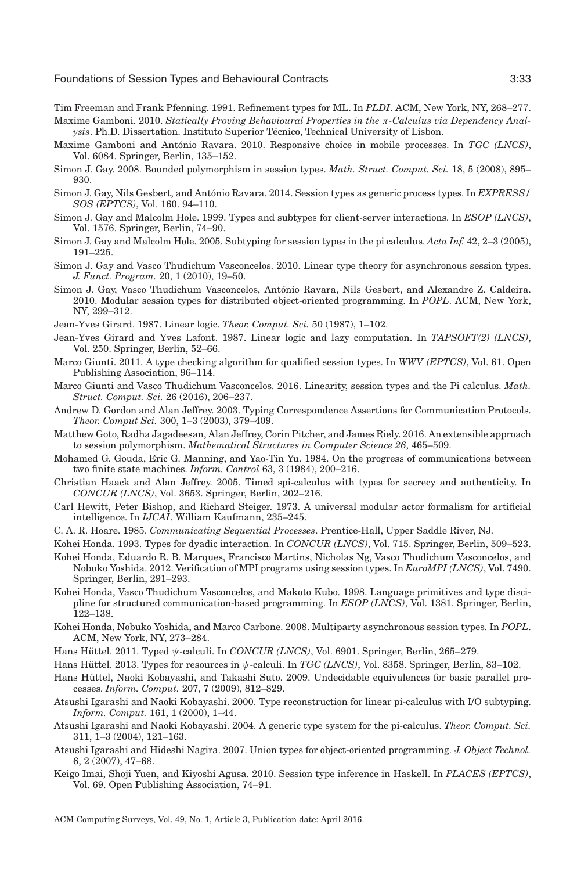<span id="page-32-0"></span>Tim Freeman and Frank Pfenning. 1991. Refinement types for ML. In *PLDI*. ACM, New York, NY, 268–277.

- <span id="page-32-20"></span>Maxime Gamboni. 2010. *Statically Proving Behavioural Properties in the* π*-Calculus via Dependency Analysis*. Ph.D. Dissertation. Instituto Superior Técnico, Technical University of Lisbon.
- <span id="page-32-19"></span>Maxime Gamboni and António Ravara. 2010. Responsive choice in mobile processes. In *TGC (LNCS)*, Vol. 6084. Springer, Berlin, 135–152.
- <span id="page-32-14"></span>Simon J. Gay. 2008. Bounded polymorphism in session types. *Math. Struct. Comput. Sci.* 18, 5 (2008), 895– 930.
- <span id="page-32-22"></span>Simon J. Gay, Nils Gesbert, and António Ravara. 2014. Session types as generic process types. In *EXPRESS/ SOS (EPTCS)*, Vol. 160. 94–110.
- <span id="page-32-13"></span>Simon J. Gay and Malcolm Hole. 1999. Types and subtypes for client-server interactions. In *ESOP (LNCS)*, Vol. 1576. Springer, Berlin, 74–90.
- <span id="page-32-7"></span>Simon J. Gay and Malcolm Hole. 2005. Subtyping for session types in the pi calculus. *Acta Inf.* 42, 2–3 (2005), 191–225.
- <span id="page-32-10"></span>Simon J. Gay and Vasco Thudichum Vasconcelos. 2010. Linear type theory for asynchronous session types. *J. Funct. Program.* 20, 1 (2010), 19–50.
- <span id="page-32-2"></span>Simon J. Gay, Vasco Thudichum Vasconcelos, Antonio Ravara, Nils Gesbert, and Alexandre Z. Caldeira. ´ 2010. Modular session types for distributed object-oriented programming. In *POPL*. ACM, New York, NY, 299–312.
- <span id="page-32-6"></span>Jean-Yves Girard. 1987. Linear logic. *Theor. Comput. Sci.* 50 (1987), 1–102.
- <span id="page-32-17"></span>Jean-Yves Girard and Yves Lafont. 1987. Linear logic and lazy computation. In *TAPSOFT(2) (LNCS)*, Vol. 250. Springer, Berlin, 52–66.
- <span id="page-32-26"></span>Marco Giunti. 2011. A type checking algorithm for qualified session types. In *WWV (EPTCS)*, Vol. 61. Open Publishing Association, 96–114.
- <span id="page-32-9"></span>Marco Giunti and Vasco Thudichum Vasconcelos. 2016. Linearity, session types and the Pi calculus. *Math. Struct. Comput. Sci.* 26 (2016), 206–237.
- <span id="page-32-18"></span>Andrew D. Gordon and Alan Jeffrey. 2003. Typing Correspondence Assertions for Communication Protocols. *Theor. Comput Sci.* 300, 1–3 (2003), 379–409.
- <span id="page-32-15"></span>Matthew Goto, Radha Jagadeesan, Alan Jeffrey, Corin Pitcher, and James Riely. 2016. An extensible approach to session polymorphism. *Mathematical Structures in Computer Science 26*, 465–509.
- <span id="page-32-25"></span>Mohamed G. Gouda, Eric G. Manning, and Yao-Tin Yu. 1984. On the progress of communications between two finite state machines. *Inform. Control* 63, 3 (1984), 200–216.
- <span id="page-32-21"></span>Christian Haack and Alan Jeffrey. 2005. Timed spi-calculus with types for secrecy and authenticity. In *CONCUR (LNCS)*, Vol. 3653. Springer, Berlin, 202–216.
- <span id="page-32-4"></span>Carl Hewitt, Peter Bishop, and Richard Steiger. 1973. A universal modular actor formalism for artificial intelligence. In *IJCAI*. William Kaufmann, 235–245.
- <span id="page-32-3"></span>C. A. R. Hoare. 1985. *Communicating Sequential Processes*. Prentice-Hall, Upper Saddle River, NJ.
- <span id="page-32-16"></span>Kohei Honda. 1993. Types for dyadic interaction. In *CONCUR (LNCS)*, Vol. 715. Springer, Berlin, 509–523.
- <span id="page-32-12"></span>Kohei Honda, Eduardo R. B. Marques, Francisco Martins, Nicholas Ng, Vasco Thudichum Vasconcelos, and Nobuko Yoshida. 2012. Verification of MPI programs using session types. In *EuroMPI (LNCS)*, Vol. 7490. Springer, Berlin, 291–293.
- <span id="page-32-8"></span>Kohei Honda, Vasco Thudichum Vasconcelos, and Makoto Kubo. 1998. Language primitives and type discipline for structured communication-based programming. In *ESOP (LNCS)*, Vol. 1381. Springer, Berlin, 122–138.
- <span id="page-32-11"></span>Kohei Honda, Nobuko Yoshida, and Marco Carbone. 2008. Multiparty asynchronous session types. In *POPL*. ACM, New York, NY, 273–284.
- <span id="page-32-23"></span>Hans Hüttel. 2011. Typed  $\psi$ -calculi. In *CONCUR (LNCS)*, Vol. 6901. Springer, Berlin, 265–279.
- <span id="page-32-24"></span>Hans Hüttel. 2013. Types for resources in  $\psi$ -calculi. In *TGC (LNCS)*, Vol. 8358. Springer, Berlin, 83–102.
- <span id="page-32-29"></span>Hans Huttel, Naoki Kobayashi, and Takashi Suto. 2009. Undecidable equivalences for basic parallel pro- ¨ cesses. *Inform. Comput.* 207, 7 (2009), 812–829.
- <span id="page-32-27"></span>Atsushi Igarashi and Naoki Kobayashi. 2000. Type reconstruction for linear pi-calculus with I/O subtyping. *Inform. Comput.* 161, 1 (2000), 1–44.
- <span id="page-32-5"></span>Atsushi Igarashi and Naoki Kobayashi. 2004. A generic type system for the pi-calculus. *Theor. Comput. Sci.* 311, 1–3 (2004), 121–163.
- <span id="page-32-1"></span>Atsushi Igarashi and Hideshi Nagira. 2007. Union types for object-oriented programming. *J. Object Technol.* 6, 2 (2007), 47–68.
- <span id="page-32-28"></span>Keigo Imai, Shoji Yuen, and Kiyoshi Agusa. 2010. Session type inference in Haskell. In *PLACES (EPTCS)*, Vol. 69. Open Publishing Association, 74–91.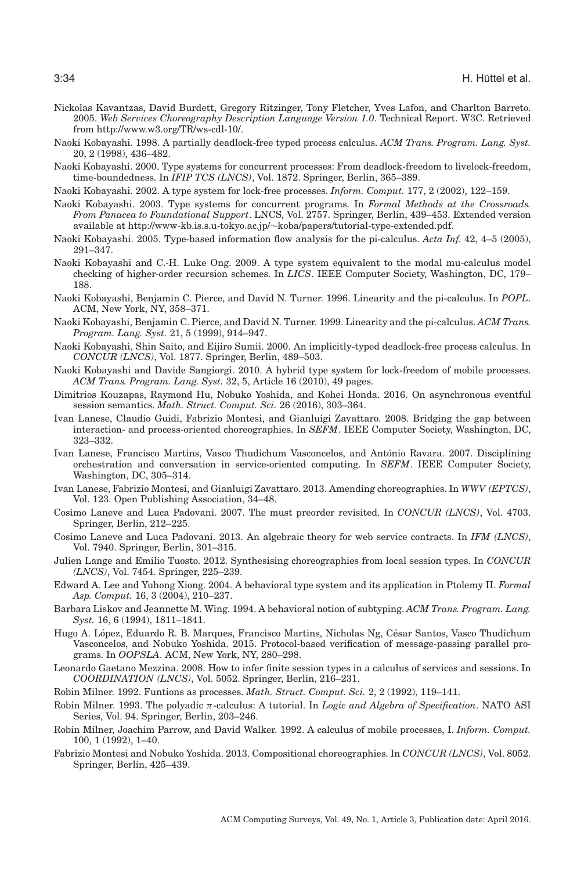- <span id="page-33-14"></span>Nickolas Kavantzas, David Burdett, Gregory Ritzinger, Tony Fletcher, Yves Lafon, and Charlton Barreto. 2005. *Web Services Choreography Description Language Version 1.0*. Technical Report. W3C. Retrieved from [http://www.w3.org/TR/ws-cdl-10/.](http://www.w3.org/TR/ws-cdl-10/)
- <span id="page-33-20"></span>Naoki Kobayashi. 1998. A partially deadlock-free typed process calculus. *ACM Trans. Program. Lang. Syst.* 20, 2 (1998), 436–482.
- <span id="page-33-4"></span>Naoki Kobayashi. 2000. Type systems for concurrent processes: From deadlock-freedom to livelock-freedom, time-boundedness. In *IFIP TCS (LNCS)*, Vol. 1872. Springer, Berlin, 365–389.
- <span id="page-33-19"></span>Naoki Kobayashi. 2002. A type system for lock-free processes. *Inform. Comput.* 177, 2 (2002), 122–159.
- <span id="page-33-0"></span>Naoki Kobayashi. 2003. Type systems for concurrent programs. In *Formal Methods at the Crossroads. From Panacea to Foundational Support*. LNCS, Vol. 2757. Springer, Berlin, 439–453. Extended version available at http://www-kb.is.s.u-tokyo.ac.jp/∼[koba/papers/tutorial-type-extended.pdf.](http://www-kb.is.s.u-tokyo.ac.jp/protect $
elax sim $koba/papers/tutorial-type-extended.pdf)
- <span id="page-33-21"></span>Naoki Kobayashi. 2005. Type-based information flow analysis for the pi-calculus. *Acta Inf.* 42, 4–5 (2005), 291–347.
- <span id="page-33-2"></span>Naoki Kobayashi and C.-H. Luke Ong. 2009. A type system equivalent to the modal mu-calculus model checking of higher-order recursion schemes. In *LICS*. IEEE Computer Society, Washington, DC, 179– 188.
- <span id="page-33-23"></span>Naoki Kobayashi, Benjamin C. Pierce, and David N. Turner. 1996. Linearity and the pi-calculus. In *POPL*. ACM, New York, NY, 358–371.
- <span id="page-33-1"></span>Naoki Kobayashi, Benjamin C. Pierce, and David N. Turner. 1999. Linearity and the pi-calculus. *ACM Trans. Program. Lang. Syst.* 21, 5 (1999), 914–947.
- <span id="page-33-5"></span>Naoki Kobayashi, Shin Saito, and Eijiro Sumii. 2000. An implicitly-typed deadlock-free process calculus. In *CONCUR (LNCS)*, Vol. 1877. Springer, Berlin, 489–503.
- <span id="page-33-22"></span>Naoki Kobayashi and Davide Sangiorgi. 2010. A hybrid type system for lock-freedom of mobile processes. *ACM Trans. Program. Lang. Syst.* 32, 5, Article 16 (2010), 49 pages.
- <span id="page-33-12"></span>Dimitrios Kouzapas, Raymond Hu, Nobuko Yoshida, and Kohei Honda. 2016. On asynchronous eventful session semantics. *Math. Struct. Comput. Sci.* 26 (2016), 303–364.
- <span id="page-33-15"></span>Ivan Lanese, Claudio Guidi, Fabrizio Montesi, and Gianluigi Zavattaro. 2008. Bridging the gap between interaction- and process-oriented choreographies. In *SEFM*. IEEE Computer Society, Washington, DC, 323–332.
- <span id="page-33-13"></span>Ivan Lanese, Francisco Martins, Vasco Thudichum Vasconcelos, and Antonio Ravara. 2007. Disciplining ´ orchestration and conversation in service-oriented computing. In *SEFM*. IEEE Computer Society, Washington, DC, 305–314.
- <span id="page-33-25"></span>Ivan Lanese, Fabrizio Montesi, and Gianluigi Zavattaro. 2013. Amending choreographies. In *WWV (EPTCS)*, Vol. 123. Open Publishing Association, 34–48.
- <span id="page-33-10"></span>Cosimo Laneve and Luca Padovani. 2007. The must preorder revisited. In *CONCUR (LNCS)*, Vol. 4703. Springer, Berlin, 212–225.
- <span id="page-33-11"></span>Cosimo Laneve and Luca Padovani. 2013. An algebraic theory for web service contracts. In *IFM (LNCS)*, Vol. 7940. Springer, Berlin, 301–315.
- <span id="page-33-18"></span>Julien Lange and Emilio Tuosto. 2012. Synthesising choreographies from local session types. In *CONCUR (LNCS)*, Vol. 7454. Springer, 225–239.
- <span id="page-33-6"></span>Edward A. Lee and Yuhong Xiong. 2004. A behavioral type system and its application in Ptolemy II. *Formal Asp. Comput.* 16, 3 (2004), 210–237.
- <span id="page-33-3"></span>Barbara Liskov and Jeannette M. Wing. 1994. A behavioral notion of subtyping. *ACM Trans. Program. Lang. Syst.* 16, 6 (1994), 1811–1841.
- <span id="page-33-17"></span>Hugo A. López, Eduardo R. B. Marques, Francisco Martins, Nicholas Ng, César Santos, Vasco Thudichum Vasconcelos, and Nobuko Yoshida. 2015. Protocol-based verification of message-passing parallel programs. In *OOPSLA*. ACM, New York, NY, 280–298.
- <span id="page-33-24"></span>Leonardo Gaetano Mezzina. 2008. How to infer finite session types in a calculus of services and sessions. In *COORDINATION (LNCS)*, Vol. 5052. Springer, Berlin, 216–231.
- <span id="page-33-8"></span>Robin Milner. 1992. Funtions as processes. *Math. Struct. Comput. Sci.* 2, 2 (1992), 119–141.
- <span id="page-33-7"></span>Robin Milner. 1993. The polyadic π-calculus: A tutorial. In *Logic and Algebra of Specification*. NATO ASI Series, Vol. 94. Springer, Berlin, 203–246.
- <span id="page-33-9"></span>Robin Milner, Joachim Parrow, and David Walker. 1992. A calculus of mobile processes, I. *Inform. Comput.* 100, 1 (1992), 1–40.
- <span id="page-33-16"></span>Fabrizio Montesi and Nobuko Yoshida. 2013. Compositional choreographies. In *CONCUR (LNCS)*, Vol. 8052. Springer, Berlin, 425–439.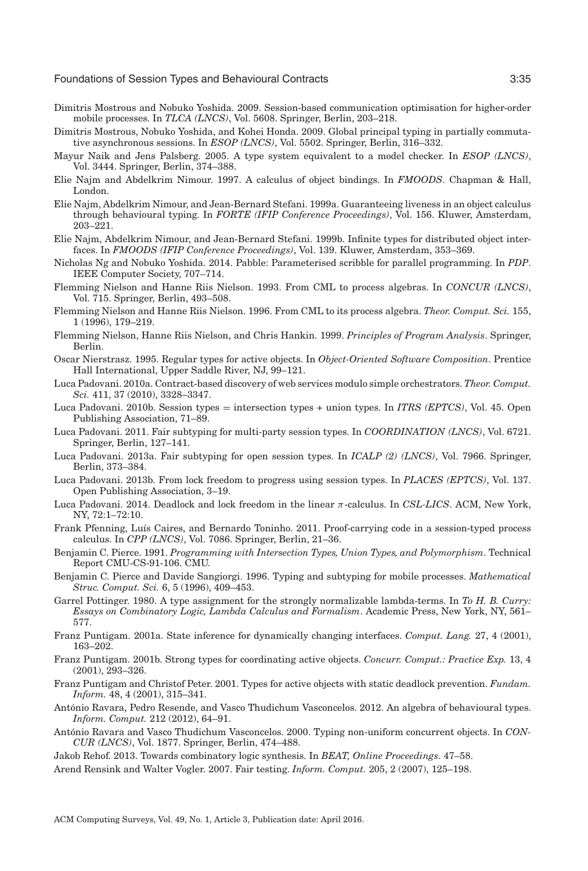- <span id="page-34-20"></span>Dimitris Mostrous and Nobuko Yoshida. 2009. Session-based communication optimisation for higher-order mobile processes. In *TLCA (LNCS)*, Vol. 5608. Springer, Berlin, 203–218.
- <span id="page-34-21"></span>Dimitris Mostrous, Nobuko Yoshida, and Kohei Honda. 2009. Global principal typing in partially commutative asynchronous sessions. In *ESOP (LNCS)*, Vol. 5502. Springer, Berlin, 316–332.
- <span id="page-34-2"></span>Mayur Naik and Jens Palsberg. 2005. A type system equivalent to a model checker. In *ESOP (LNCS)*, Vol. 3444. Springer, Berlin, 374–388.
- <span id="page-34-10"></span>Elie Najm and Abdelkrim Nimour. 1997. A calculus of object bindings. In *FMOODS*. Chapman & Hall, London.
- <span id="page-34-11"></span>Elie Najm, Abdelkrim Nimour, and Jean-Bernard Stefani. 1999a. Guaranteeing liveness in an object calculus through behavioural typing. In *FORTE (IFIP Conference Proceedings)*, Vol. 156. Kluwer, Amsterdam, 203–221.
- <span id="page-34-12"></span>Elie Najm, Abdelkrim Nimour, and Jean-Bernard Stefani. 1999b. Infinite types for distributed object interfaces. In *FMOODS (IFIP Conference Proceedings)*, Vol. 139. Kluwer, Amsterdam, 353–369.
- <span id="page-34-18"></span>Nicholas Ng and Nobuko Yoshida. 2014. Pabble: Parameterised scribble for parallel programming. In *PDP*. IEEE Computer Society, 707–714.
- <span id="page-34-6"></span>Flemming Nielson and Hanne Riis Nielson. 1993. From CML to process algebras. In *CONCUR (LNCS)*, Vol. 715. Springer, Berlin, 493–508.
- <span id="page-34-7"></span>Flemming Nielson and Hanne Riis Nielson. 1996. From CML to its process algebra. *Theor. Comput. Sci.* 155, 1 (1996), 179–219.
- <span id="page-34-8"></span>Flemming Nielson, Hanne Riis Nielson, and Chris Hankin. 1999. *Principles of Program Analysis*. Springer, Berlin.
- <span id="page-34-9"></span>Oscar Nierstrasz. 1995. Regular types for active objects. In *Object-Oriented Software Composition*. Prentice Hall International, Upper Saddle River, NJ, 99–121.
- <span id="page-34-22"></span>Luca Padovani. 2010a. Contract-based discovery of web services modulo simple orchestrators. *Theor. Comput. Sci.* 411, 37 (2010), 3328–3347.
- <span id="page-34-5"></span>Luca Padovani. 2010b. Session types = intersection types + union types. In *ITRS (EPTCS)*, Vol. 45. Open Publishing Association, 71–89.
- <span id="page-34-19"></span>Luca Padovani. 2011. Fair subtyping for multi-party session types. In *COORDINATION (LNCS)*, Vol. 6721. Springer, Berlin, 127–141.
- <span id="page-34-27"></span>Luca Padovani. 2013a. Fair subtyping for open session types. In *ICALP (2) (LNCS)*, Vol. 7966. Springer, Berlin, 373–384.
- <span id="page-34-25"></span>Luca Padovani. 2013b. From lock freedom to progress using session types. In *PLACES (EPTCS)*, Vol. 137. Open Publishing Association, 3–19.
- <span id="page-34-26"></span>Luca Padovani. 2014. Deadlock and lock freedom in the linear π-calculus. In *CSL-LICS*. ACM, New York, NY, 72:1–72:10.
- <span id="page-34-24"></span>Frank Pfenning, Luís Caires, and Bernardo Toninho. 2011. Proof-carrying code in a session-typed process calculus. In *CPP (LNCS)*, Vol. 7086. Springer, Berlin, 21–36.
- <span id="page-34-4"></span>Benjamin C. Pierce. 1991. *Programming with Intersection Types, Union Types, and Polymorphism*. Technical Report CMU-CS-91-106. CMU.
- <span id="page-34-0"></span>Benjamin C. Pierce and Davide Sangiorgi. 1996. Typing and subtyping for mobile processes. *Mathematical Struc. Comput. Sci.* 6, 5 (1996), 409–453.
- <span id="page-34-1"></span>Garrel Pottinger. 1980. A type assignment for the strongly normalizable lambda-terms. In *To H. B. Curry: Essays on Combinatory Logic, Lambda Calculus and Formalism*. Academic Press, New York, NY, 561– 577.
- <span id="page-34-13"></span>Franz Puntigam. 2001a. State inference for dynamically changing interfaces. *Comput. Lang.* 27, 4 (2001), 163–202.
- <span id="page-34-14"></span>Franz Puntigam. 2001b. Strong types for coordinating active objects. *Concurr. Comput.: Practice Exp.* 13, 4 (2001), 293–326.
- <span id="page-34-15"></span>Franz Puntigam and Christof Peter. 2001. Types for active objects with static deadlock prevention. *Fundam. Inform.* 48, 4 (2001), 315–341.
- <span id="page-34-17"></span>Antonio Ravara, Pedro Resende, and Vasco Thudichum Vasconcelos. 2012. An algebra of behavioural types. ´ *Inform. Comput.* 212 (2012), 64–91.
- <span id="page-34-16"></span>António Ravara and Vasco Thudichum Vasconcelos. 2000. Typing non-uniform concurrent objects. In *CON-CUR (LNCS)*, Vol. 1877. Springer, Berlin, 474–488.
- <span id="page-34-3"></span>Jakob Rehof. 2013. Towards combinatory logic synthesis. In *BEAT, Online Proceedings*. 47–58.
- <span id="page-34-23"></span>Arend Rensink and Walter Vogler. 2007. Fair testing. *Inform. Comput.* 205, 2 (2007), 125–198.